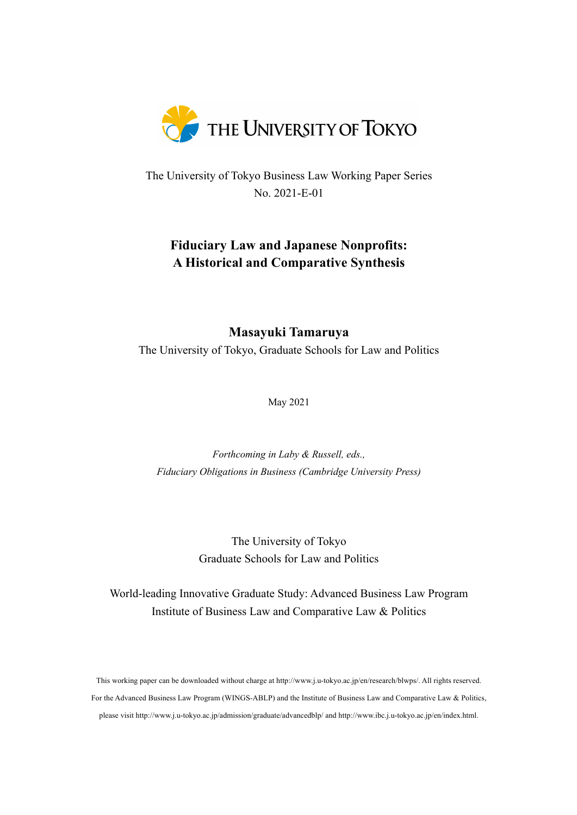

The University of Tokyo Business Law Working Paper Series No. 2021-E-01

# **Fiduciary Law and Japanese Nonprofits: A Historical and Comparative Synthesis**

## **Masayuki Tamaruya**

The University of Tokyo, Graduate Schools for Law and Politics

May 2021

*Forthcoming in Laby & Russell, eds., Fiduciary Obligations in Business (Cambridge University Press)*

> The University of Tokyo Graduate Schools for Law and Politics

World-leading Innovative Graduate Study: Advanced Business Law Program Institute of Business Law and Comparative Law & Politics

This working paper can be downloaded without charge at http://www.j.u-tokyo.ac.jp/en/research/blwps/. All rights reserved. For the Advanced Business Law Program (WINGS-ABLP) and the Institute of Business Law and Comparative Law & Politics, please visit http://www.j.u-tokyo.ac.jp/admission/graduate/advancedblp/ and http://www.ibc.j.u-tokyo.ac.jp/en/index.html.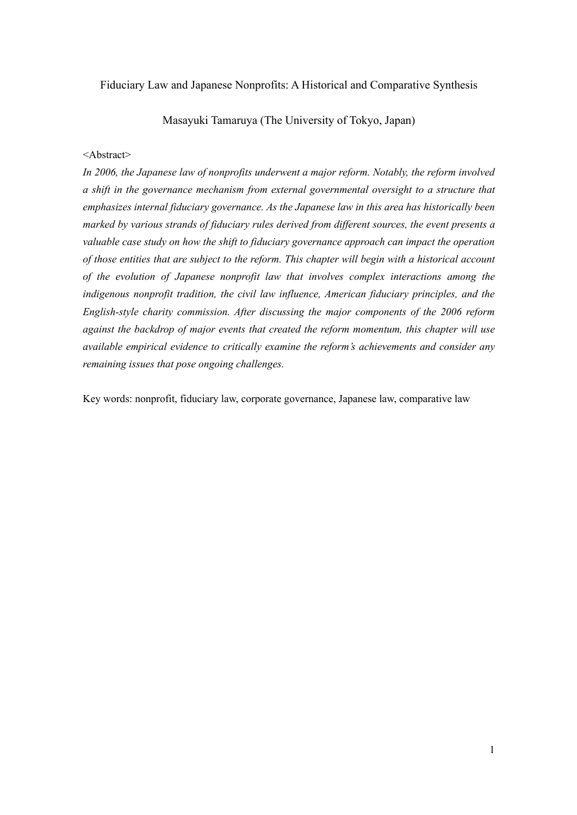## Fiduciary Law and Japanese Nonprofits: A Historical and Comparative Synthesis

Masayuki Tamaruya (The University of Tokyo, Japan)

## <Abstract>

*In 2006, the Japanese law of nonprofits underwent a major reform. Notably, the reform involved a shift in the governance mechanism from external governmental oversight to a structure that emphasizes internal fiduciary governance. As the Japanese law in this area has historically been marked by various strands of fiduciary rules derived from different sources, the event presents a valuable case study on how the shift to fiduciary governance approach can impact the operation of those entities that are subject to the reform. This chapter will begin with a historical account of the evolution of Japanese nonprofit law that involves complex interactions among the indigenous nonprofit tradition, the civil law influence, American fiduciary principles, and the English-style charity commission. After discussing the major components of the 2006 reform against the backdrop of major events that created the reform momentum, this chapter will use available empirical evidence to critically examine the reform's achievements and consider any remaining issues that pose ongoing challenges.*

Key words: nonprofit, fiduciary law, corporate governance, Japanese law, comparative law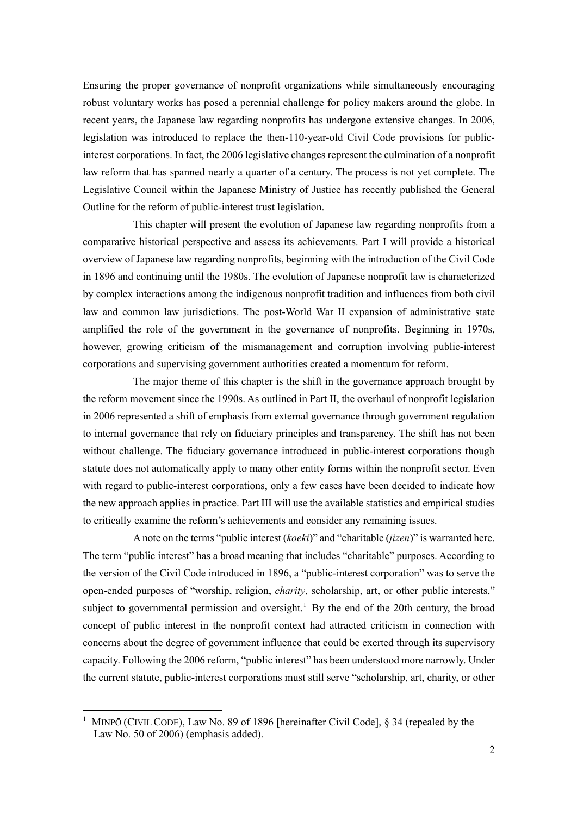Ensuring the proper governance of nonprofit organizations while simultaneously encouraging robust voluntary works has posed a perennial challenge for policy makers around the globe. In recent years, the Japanese law regarding nonprofits has undergone extensive changes. In 2006, legislation was introduced to replace the then-110-year-old Civil Code provisions for publicinterest corporations. In fact, the 2006 legislative changes represent the culmination of a nonprofit law reform that has spanned nearly a quarter of a century. The process is not yet complete. The Legislative Council within the Japanese Ministry of Justice has recently published the General Outline for the reform of public-interest trust legislation.

This chapter will present the evolution of Japanese law regarding nonprofits from a comparative historical perspective and assess its achievements. Part I will provide a historical overview of Japanese law regarding nonprofits, beginning with the introduction of the Civil Code in 1896 and continuing until the 1980s. The evolution of Japanese nonprofit law is characterized by complex interactions among the indigenous nonprofit tradition and influences from both civil law and common law jurisdictions. The post-World War II expansion of administrative state amplified the role of the government in the governance of nonprofits. Beginning in 1970s, however, growing criticism of the mismanagement and corruption involving public-interest corporations and supervising government authorities created a momentum for reform.

The major theme of this chapter is the shift in the governance approach brought by the reform movement since the 1990s. As outlined in Part II, the overhaul of nonprofit legislation in 2006 represented a shift of emphasis from external governance through government regulation to internal governance that rely on fiduciary principles and transparency. The shift has not been without challenge. The fiduciary governance introduced in public-interest corporations though statute does not automatically apply to many other entity forms within the nonprofit sector. Even with regard to public-interest corporations, only a few cases have been decided to indicate how the new approach applies in practice. Part III will use the available statistics and empirical studies to critically examine the reform's achievements and consider any remaining issues.

Anote on the terms "public interest (*koeki*)" and "charitable (*jizen*)" is warranted here. The term "public interest" has a broad meaning that includes "charitable" purposes. According to the version of the Civil Code introduced in 1896, a "public-interest corporation" was to serve the open-ended purposes of "worship, religion, *charity*, scholarship, art, or other public interests," subject to governmental permission and oversight.<sup>1</sup> By the end of the 20th century, the broad concept of public interest in the nonprofit context had attracted criticism in connection with concerns about the degree of government influence that could be exerted through its supervisory capacity. Following the 2006 reform, "public interest" has been understood more narrowly. Under the current statute, public-interest corporations must still serve "scholarship, art, charity, or other

<sup>&</sup>lt;sup>1</sup> MINPŌ (CIVIL CODE), Law No. 89 of 1896 [hereinafter Civil Code],  $\S$  34 (repealed by the Law No. 50 of 2006) (emphasis added).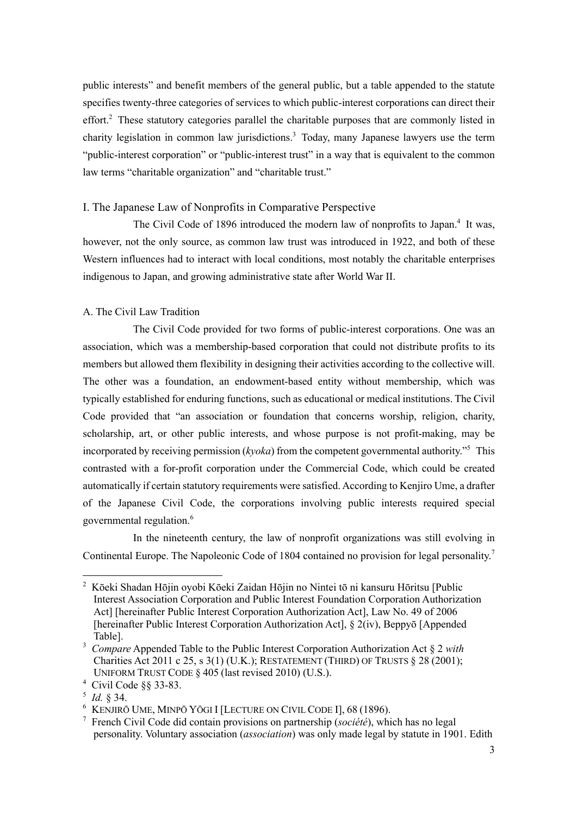public interests" and benefit members of the general public, but a table appended to the statute specifies twenty-three categories of services to which public-interest corporations can direct their effort.<sup>2</sup> These statutory categories parallel the charitable purposes that are commonly listed in charity legislation in common law jurisdictions. <sup>3</sup> Today, many Japanese lawyers use the term "public-interest corporation" or "public-interest trust" in a way that is equivalent to the common law terms "charitable organization" and "charitable trust."

## I. The Japanese Law of Nonprofits in Comparative Perspective

The Civil Code of 1896 introduced the modern law of nonprofits to Japan.<sup>4</sup> It was, however, not the only source, as common law trust was introduced in 1922, and both of these Western influences had to interact with local conditions, most notably the charitable enterprises indigenous to Japan, and growing administrative state after World War II.

## A. The Civil Law Tradition

The Civil Code provided for two forms of public-interest corporations. One was an association, which was a membership-based corporation that could not distribute profits to its members but allowed them flexibility in designing their activities according to the collective will. The other was a foundation, an endowment-based entity without membership, which was typically established for enduring functions, such as educational or medical institutions. The Civil Code provided that "an association or foundation that concerns worship, religion, charity, scholarship, art, or other public interests, and whose purpose is not profit-making, may be incorporated by receiving permission (*kyoka*) from the competent governmental authority."5 This contrasted with a for-profit corporation under the Commercial Code, which could be created automatically if certain statutory requirements were satisfied. According to Kenjiro Ume, a drafter of the Japanese Civil Code, the corporations involving public interests required special governmental regulation.<sup>6</sup>

In the nineteenth century, the law of nonprofit organizations was still evolving in Continental Europe. The Napoleonic Code of 1804 contained no provision for legal personality.<sup>7</sup>

<sup>&</sup>lt;sup>2</sup> Kōeki Shadan Hōjin oyobi Kōeki Zaidan Hōjin no Nintei tō ni kansuru Hōritsu [Public Interest Association Corporation and Public Interest Foundation Corporation Authorization Act] [hereinafter Public Interest Corporation Authorization Act], Law No. 49 of 2006 [hereinafter Public Interest Corporation Authorization Act], § 2(iv), Beppyō [Appended Table].

<sup>3</sup> *Compare* Appended Table to the Public Interest Corporation Authorization Act § 2 *with* Charities Act 2011 c 25, s 3(1) (U.K.); RESTATEMENT (THIRD) OF TRUSTS § 28 (2001); UNIFORM TRUST CODE § 405 (last revised 2010) (U.S.).

<sup>4</sup> Civil Code §§ 33-83.

<sup>5</sup> *Id.* § 34.

<sup>6</sup> KENJIRŌ UME, MINPŌ YŌGI I [LECTURE ON CIVIL CODE I], 68 (1896).

<sup>7</sup> French Civil Code did contain provisions on partnership (*société*), which has no legal personality. Voluntary association (*association*) was only made legal by statute in 1901. Edith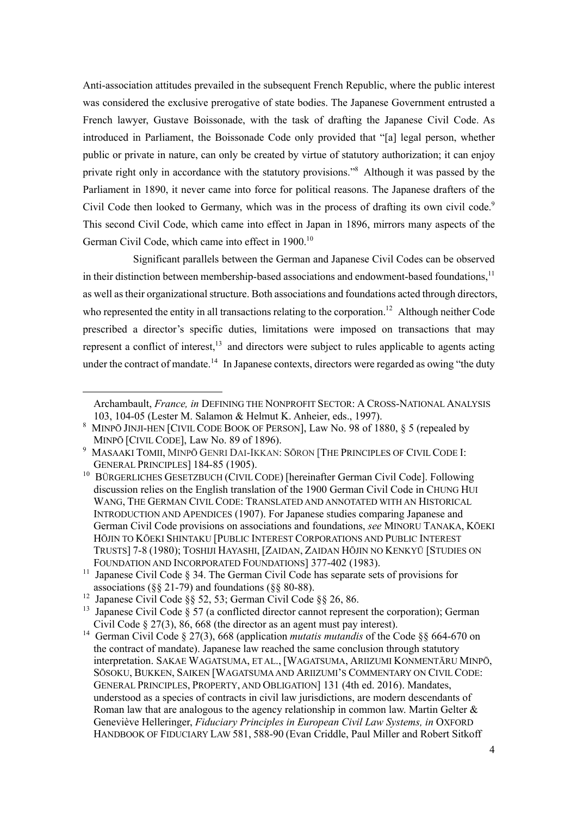Anti-association attitudes prevailed in the subsequent French Republic, where the public interest was considered the exclusive prerogative of state bodies. The Japanese Government entrusted a French lawyer, Gustave Boissonade, with the task of drafting the Japanese Civil Code. As introduced in Parliament, the Boissonade Code only provided that "[a] legal person, whether public or private in nature, can only be created by virtue of statutory authorization; it can enjoy private right only in accordance with the statutory provisions."8 Although it was passed by the Parliament in 1890, it never came into force for political reasons. The Japanese drafters of the Civil Code then looked to Germany, which was in the process of drafting its own civil code.<sup>9</sup> This second Civil Code, which came into effect in Japan in 1896, mirrors many aspects of the German Civil Code, which came into effect in 1900.<sup>10</sup>

Significant parallels between the German and Japanese Civil Codes can be observed in their distinction between membership-based associations and endowment-based foundations,<sup>11</sup> as well astheir organizational structure. Both associations and foundations acted through directors, who represented the entity in all transactions relating to the corporation.<sup>12</sup> Although neither Code prescribed a director's specific duties, limitations were imposed on transactions that may represent a conflict of interest, $^{13}$  and directors were subject to rules applicable to agents acting under the contract of mandate.<sup>14</sup> In Japanese contexts, directors were regarded as owing "the duty

Archambault, *France, in* DEFINING THE NONPROFIT SECTOR: A CROSS-NATIONAL ANALYSIS 103, 104-05 (Lester M. Salamon & Helmut K. Anheier, eds., 1997).

<sup>8</sup> MINPŌ JINJI-HEN [CIVIL CODE BOOK OF PERSON], Law No. 98 of 1880, § 5 (repealed by MINPŌ [CIVIL CODE], Law No. 89 of 1896).

<sup>9</sup> MASAAKI TOMII, MINPŌ GENRI DAI-IKKAN: SŌRON [THE PRINCIPLES OF CIVIL CODE I: GENERAL PRINCIPLES] 184-85 (1905).

<sup>&</sup>lt;sup>10</sup> BÜRGERLICHES GESETZBUCH (CIVIL CODE) [hereinafter German Civil Code]. Following discussion relies on the English translation of the 1900 German Civil Code in CHUNG HUI WANG, THE GERMAN CIVIL CODE: TRANSLATED AND ANNOTATED WITH AN HISTORICAL INTRODUCTION AND APENDICES (1907). For Japanese studies comparing Japanese and German Civil Code provisions on associations and foundations, *see* MINORU TANAKA, KŌEKI HŌJIN TO KŌEKI SHINTAKU [PUBLIC INTEREST CORPORATIONS AND PUBLIC INTEREST TRUSTS] 7-8 (1980); TOSHIJI HAYASHI, [ZAIDAN, ZAIDAN HŌJIN NO KENKYŪ [STUDIES ON FOUNDATION AND INCORPORATED FOUNDATIONS] 377-402 (1983).

<sup>&</sup>lt;sup>11</sup> Japanese Civil Code § 34. The German Civil Code has separate sets of provisions for associations (§§ 21-79) and foundations (§§ 80-88).

<sup>12</sup> Japanese Civil Code §§ 52, 53; German Civil Code §§ 26, 86.

<sup>&</sup>lt;sup>13</sup> Japanese Civil Code § 57 (a conflicted director cannot represent the corporation); German Civil Code § 27(3), 86, 668 (the director as an agent must pay interest).

<sup>&</sup>lt;sup>14</sup> German Civil Code § 27(3), 668 (application *mutatis mutandis* of the Code §§ 664-670 on the contract of mandate). Japanese law reached the same conclusion through statutory interpretation. SAKAE WAGATSUMA, ET AL., [WAGATSUMA, ARIIZUMI KONMENTĀRU MINPŌ, SŌSOKU, BUKKEN, SAIKEN [WAGATSUMA AND ARIIZUMI'S COMMENTARY ON CIVIL CODE: GENERAL PRINCIPLES, PROPERTY, AND OBLIGATION] 131 (4th ed. 2016). Mandates, understood as a species of contracts in civil law jurisdictions, are modern descendants of Roman law that are analogous to the agency relationship in common law. Martin Gelter & Geneviève Helleringer, *Fiduciary Principles in European Civil Law Systems, in* OXFORD HANDBOOK OF FIDUCIARY LAW 581, 588-90 (Evan Criddle, Paul Miller and Robert Sitkoff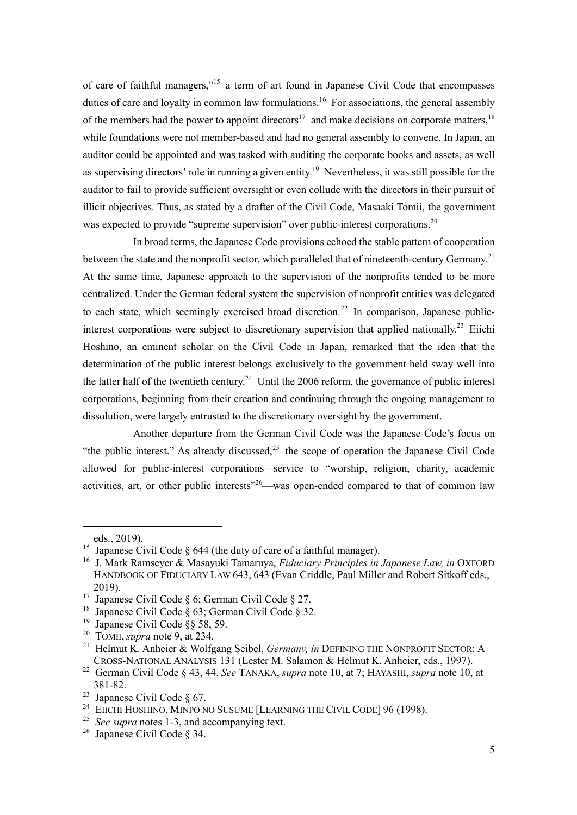of care of faithful managers,"15 a term of art found in Japanese Civil Code that encompasses duties of care and loyalty in common law formulations.<sup>16</sup> For associations, the general assembly of the members had the power to appoint directors<sup>17</sup> and make decisions on corporate matters,  $18$ while foundations were not member-based and had no general assembly to convene. In Japan, an auditor could be appointed and was tasked with auditing the corporate books and assets, as well as supervising directors' role in running a given entity.<sup>19</sup> Nevertheless, it was still possible for the auditor to fail to provide sufficient oversight or even collude with the directors in their pursuit of illicit objectives. Thus, as stated by a drafter of the Civil Code, Masaaki Tomii, the government was expected to provide "supreme supervision" over public-interest corporations.<sup>20</sup>

In broad terms, the Japanese Code provisions echoed the stable pattern of cooperation between the state and the nonprofit sector, which paralleled that of nineteenth-century Germany.<sup>21</sup> At the same time, Japanese approach to the supervision of the nonprofits tended to be more centralized. Under the German federal system the supervision of nonprofit entities was delegated to each state, which seemingly exercised broad discretion.<sup>22</sup> In comparison, Japanese publicinterest corporations were subject to discretionary supervision that applied nationally.<sup>23</sup> Eiichi Hoshino, an eminent scholar on the Civil Code in Japan, remarked that the idea that the determination of the public interest belongs exclusively to the government held sway well into the latter half of the twentieth century.<sup>24</sup> Until the 2006 reform, the governance of public interest corporations, beginning from their creation and continuing through the ongoing management to dissolution, were largely entrusted to the discretionary oversight by the government.

Another departure from the German Civil Code was the Japanese Code's focus on "the public interest." As already discussed.<sup>25</sup> the scope of operation the Japanese Civil Code allowed for public-interest corporations*—*service to "worship, religion, charity, academic activities, art, or other public interests<sup> $26$ </sup>—was open-ended compared to that of common law

eds., 2019).

<sup>&</sup>lt;sup>15</sup> Japanese Civil Code  $\S$  644 (the duty of care of a faithful manager).

<sup>16</sup> J. Mark Ramseyer & Masayuki Tamaruya, *Fiduciary Principles in Japanese Law, in* OXFORD HANDBOOK OF FIDUCIARY LAW 643, 643 (Evan Criddle, Paul Miller and Robert Sitkoff eds., 2019).

<sup>&</sup>lt;sup>17</sup> Japanese Civil Code § 6; German Civil Code § 27.

<sup>&</sup>lt;sup>18</sup> Japanese Civil Code § 63; German Civil Code § 32.

<sup>&</sup>lt;sup>19</sup> Japanese Civil Code  $\S$ § 58, 59.

<sup>20</sup> TOMII, *supra* note 9, at 234.

<sup>21</sup> Helmut K. Anheier & Wolfgang Seibel, *Germany, in* DEFINING THE NONPROFIT SECTOR: A CROSS-NATIONAL ANALYSIS 131 (Lester M. Salamon & Helmut K. Anheier, eds., 1997).

<sup>22</sup> German Civil Code § 43, 44. *See* TANAKA, *supra* note 10, at 7; HAYASHI, *supra* note 10, at 381-82.

<sup>&</sup>lt;sup>23</sup> Japanese Civil Code  $\S$  67.

<sup>&</sup>lt;sup>24</sup> EIICHI HOSHINO, MINPŌ NO SUSUME [LEARNING THE CIVIL CODE] 96 (1998).

<sup>25</sup> *See supra* notes 1-3, and accompanying text.

<sup>26</sup> Japanese Civil Code § 34.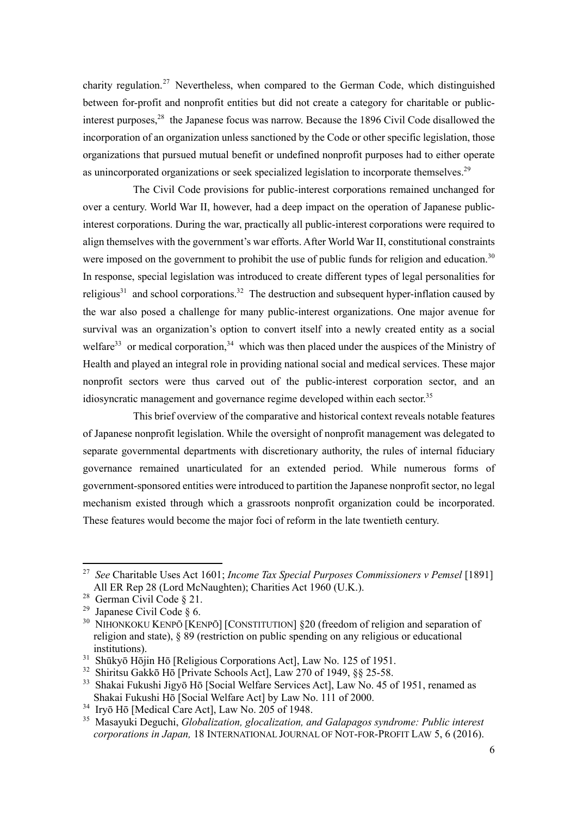charity regulation.<sup>27</sup> Nevertheless, when compared to the German Code, which distinguished between for-profit and nonprofit entities but did not create a category for charitable or publicinterest purposes,<sup>28</sup> the Japanese focus was narrow. Because the 1896 Civil Code disallowed the incorporation of an organization unless sanctioned by the Code or other specific legislation, those organizations that pursued mutual benefit or undefined nonprofit purposes had to either operate as unincorporated organizations or seek specialized legislation to incorporate themselves.<sup>29</sup>

The Civil Code provisions for public-interest corporations remained unchanged for over a century. World War II, however, had a deep impact on the operation of Japanese publicinterest corporations. During the war, practically all public-interest corporations were required to align themselves with the government's war efforts. After World War II, constitutional constraints were imposed on the government to prohibit the use of public funds for religion and education.<sup>30</sup> In response, special legislation was introduced to create different types of legal personalities for religious<sup>31</sup> and school corporations.<sup>32</sup> The destruction and subsequent hyper-inflation caused by the war also posed a challenge for many public-interest organizations. One major avenue for survival was an organization's option to convert itself into a newly created entity as a social welfare<sup>33</sup> or medical corporation,<sup>34</sup> which was then placed under the auspices of the Ministry of Health and played an integral role in providing national social and medical services. These major nonprofit sectors were thus carved out of the public-interest corporation sector, and an idiosyncratic management and governance regime developed within each sector.<sup>35</sup>

This brief overview of the comparative and historical context reveals notable features of Japanese nonprofit legislation. While the oversight of nonprofit management was delegated to separate governmental departments with discretionary authority, the rules of internal fiduciary governance remained unarticulated for an extended period. While numerous forms of government-sponsored entities were introduced to partition the Japanese nonprofit sector, no legal mechanism existed through which a grassroots nonprofit organization could be incorporated. These features would become the major foci of reform in the late twentieth century.

<sup>27</sup> *See* Charitable Uses Act 1601; *Income Tax Special Purposes Commissioners v Pemsel* [1891] All ER Rep 28 (Lord McNaughten); Charities Act 1960 (U.K.).

<sup>28</sup> German Civil Code § 21.

<sup>&</sup>lt;sup>29</sup> Japanese Civil Code  $\S$  6.

<sup>&</sup>lt;sup>30</sup> NIHONKOKU KENPŌ [KENPŌ] [CONSTITUTION] §20 (freedom of religion and separation of religion and state), § 89 (restriction on public spending on any religious or educational institutions).

<sup>&</sup>lt;sup>31</sup> Shūkyō Hōjin Hō [Religious Corporations Act], Law No. 125 of 1951.

<sup>&</sup>lt;sup>32</sup> Shiritsu Gakkō Hō [Private Schools Act], Law 270 of 1949, §§ 25-58.

<sup>&</sup>lt;sup>33</sup> Shakai Fukushi Jigyō Hō [Social Welfare Services Act], Law No. 45 of 1951, renamed as Shakai Fukushi Hō [Social Welfare Act] by Law No. 111 of 2000.

<sup>34</sup> Iryō Hō [Medical Care Act], Law No. 205 of 1948.

<sup>35</sup> Masayuki Deguchi, *Globalization, glocalization, and Galapagos syndrome: Public interest corporations in Japan,* 18 INTERNATIONAL JOURNAL OF NOT-FOR-PROFIT LAW 5, 6 (2016).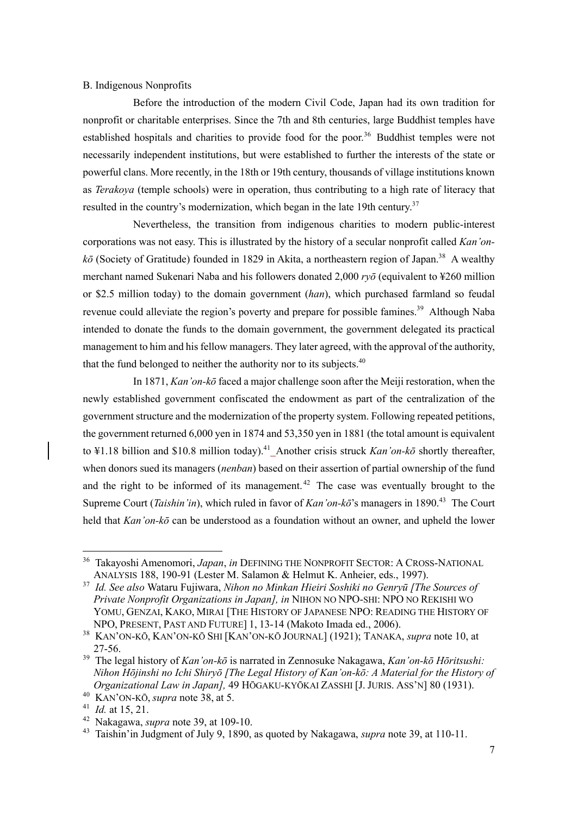## B. Indigenous Nonprofits

Before the introduction of the modern Civil Code, Japan had its own tradition for nonprofit or charitable enterprises. Since the 7th and 8th centuries, large Buddhist temples have established hospitals and charities to provide food for the poor.<sup>36</sup> Buddhist temples were not necessarily independent institutions, but were established to further the interests of the state or powerful clans. More recently, in the 18th or 19th century, thousands of village institutions known as *Terakoya* (temple schools) were in operation, thus contributing to a high rate of literacy that resulted in the country's modernization, which began in the late 19th century.<sup>37</sup>

Nevertheless, the transition from indigenous charities to modern public-interest corporations was not easy. This is illustrated by the history of a secular nonprofit called *Kan'on*kō (Society of Gratitude) founded in 1829 in Akita, a northeastern region of Japan.<sup>38</sup> A wealthy merchant named Sukenari Naba and his followers donated 2,000 *ryō* (equivalent to ¥260 million or \$2.5 million today) to the domain government (*han*), which purchased farmland so feudal revenue could alleviate the region's poverty and prepare for possible famines.<sup>39</sup> Although Naba intended to donate the funds to the domain government, the government delegated its practical management to him and his fellow managers. They later agreed, with the approval of the authority, that the fund belonged to neither the authority nor to its subjects.  $40^{\circ}$ 

In 1871, *Kan'on-kō* faced a major challenge soon after the Meiji restoration, when the newly established government confiscated the endowment as part of the centralization of the government structure and the modernization of the property system. Following repeated petitions, the government returned 6,000 yen in 1874 and 53,350 yen in 1881 (the total amount is equivalent to ¥1.18 billion and \$10.8 million today).<sup>41</sup>\_Another crisis struck *Kan'on-kō* shortly thereafter, when donors sued its managers (*nenban*) based on their assertion of partial ownership of the fund and the right to be informed of its management.<sup>42</sup> The case was eventually brought to the Supreme Court *(Taishin'in)*, which ruled in favor of *Kan'on-kō*'s managers in 1890.<sup>43</sup> The Court held that *Kan'on-kō* can be understood as a foundation without an owner, and upheld the lower

<sup>36</sup> Takayoshi Amenomori, *Japan*, *in* DEFINING THE NONPROFIT SECTOR: A CROSS-NATIONAL ANALYSIS 188, 190-91 (Lester M. Salamon & Helmut K. Anheier, eds., 1997).

<sup>37</sup> *Id. See also* Wataru Fujiwara, *Nihon no Minkan Hieiri Soshiki no Genryū [The Sources of Private Nonprofit Organizations in Japan], in* NIHON NO NPO-SHI: NPO NO REKISHI WO YOMU, GENZAI, KAKO, MIRAI [THE HISTORY OF JAPANESE NPO: READING THE HISTORY OF NPO, PRESENT, PAST AND FUTURE] 1, 13-14 (Makoto Imada ed., 2006).

<sup>38</sup> KAN'ON-KŌ, KAN'ON-KŌ SHI [KAN'ON-KŌ JOURNAL] (1921); TANAKA, *supra* note 10, at 27-56.

<sup>39</sup> The legal history of *Kan'on-kō* is narrated in Zennosuke Nakagawa, *Kan'on-kō Hōritsushi: Nihon Hōjinshi no Ichi Shiryō [The Legal History of Kan'on-kō: A Material for the History of Organizational Law in Japan],* 49 HŌGAKU-KYŌKAI ZASSHI [J. JURIS. ASS'N] 80 (1931).

<sup>40</sup> KAN'ON-KŌ, *supra* note 38, at 5.

<sup>41</sup> *Id.* at 15, 21.

<sup>42</sup> Nakagawa, *supra* note 39, at 109-10.

<sup>43</sup> Taishin'in Judgment of July 9, 1890, as quoted by Nakagawa, *supra* note 39, at 110-11.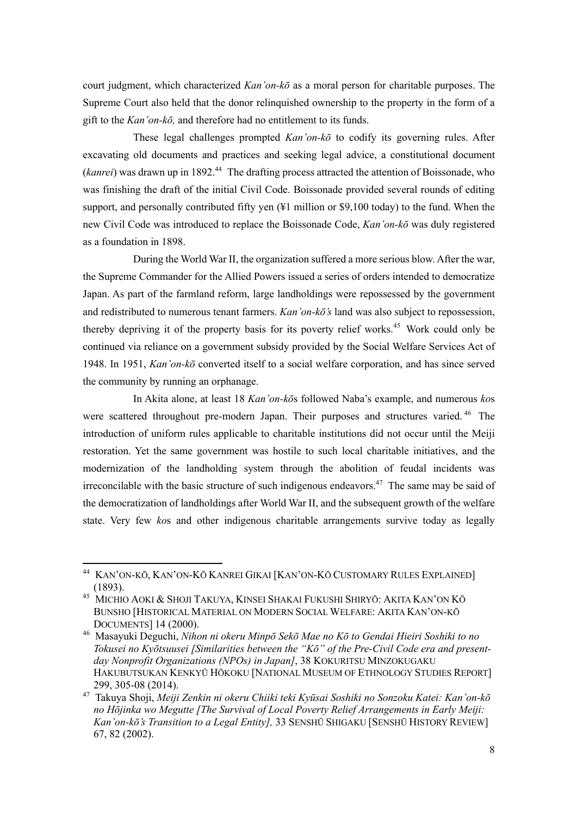court judgment, which characterized *Kan'on-kō* as a moral person for charitable purposes. The Supreme Court also held that the donor relinquished ownership to the property in the form of a gift to the *Kan'on-kō,* and therefore had no entitlement to its funds.

These legal challenges prompted *Kan'on-kō* to codify its governing rules. After excavating old documents and practices and seeking legal advice, a constitutional document (*kanrei*) was drawn up in 1892.<sup>44</sup> The drafting process attracted the attention of Boissonade, who was finishing the draft of the initial Civil Code. Boissonade provided several rounds of editing support, and personally contributed fifty yen (¥1 million or \$9,100 today) to the fund. When the new Civil Code was introduced to replace the Boissonade Code, *Kan'on-kō* was duly registered as a foundation in 1898.

During the World War II, the organization suffered a more serious blow. After the war, the Supreme Commander for the Allied Powers issued a series of orders intended to democratize Japan. As part of the farmland reform, large landholdings were repossessed by the government and redistributed to numerous tenant farmers. *Kan'on-kō's* land was also subject to repossession, thereby depriving it of the property basis for its poverty relief works. <sup>45</sup> Work could only be continued via reliance on a government subsidy provided by the Social Welfare Services Act of 1948. In 1951, *Kan'on-kō* converted itself to a social welfare corporation, and has since served the community by running an orphanage.

In Akita alone, at least 18 *Kan'on-kō*s followed Naba's example, and numerous *ko*s were scattered throughout pre-modern Japan. Their purposes and structures varied.<sup>46</sup> The introduction of uniform rules applicable to charitable institutions did not occur until the Meiji restoration. Yet the same government was hostile to such local charitable initiatives, and the modernization of the landholding system through the abolition of feudal incidents was irreconcilable with the basic structure of such indigenous endeavors.<sup>47</sup> The same may be said of the democratization of landholdings after World War II, and the subsequent growth of the welfare state. Very few *ko*s and other indigenous charitable arrangements survive today as legally

KAN'ON-KŌ, KAN'ON-KŌ KANREI GIKAI [KAN'ON-KŌ CUSTOMARY RULES EXPLAINED] (1893).

<sup>45</sup> MICHIO AOKI & SHOJI TAKUYA, KINSEI SHAKAI FUKUSHI SHIRYŌ: AKITA KAN'ON KŌ BUNSHO [HISTORICAL MATERIAL ON MODERN SOCIAL WELFARE: AKITA KAN'ON-KŌ DOCUMENTS] 14 (2000).

<sup>46</sup> Masayuki Deguchi, *Nihon ni okeru Minpō Sekō Mae no Kō to Gendai Hieiri Soshiki to no Tokusei no Kyōtsuusei [Similarities between the "Kō" of the Pre-Civil Code era and presentday Nonprofit Organizations (NPOs) in Japan]*, 38 KOKURITSU MINZOKUGAKU HAKUBUTSUKAN KENKYŪ HŌKOKU [NATIONAL MUSEUM OF ETHNOLOGY STUDIES REPORT] 299, 305-08 (2014).

<sup>47</sup> Takuya Shoji, *Meiji Zenkin ni okeru Chiiki teki Kyūsai Soshiki no Sonzoku Katei: Kan'on-kō no Hōjinka wo Megutte [The Survival of Local Poverty Relief Arrangements in Early Meiji: Kan'on-kō's Transition to a Legal Entity],* 33 SENSHŪ SHIGAKU [SENSHŪ HISTORY REVIEW] 67, 82 (2002).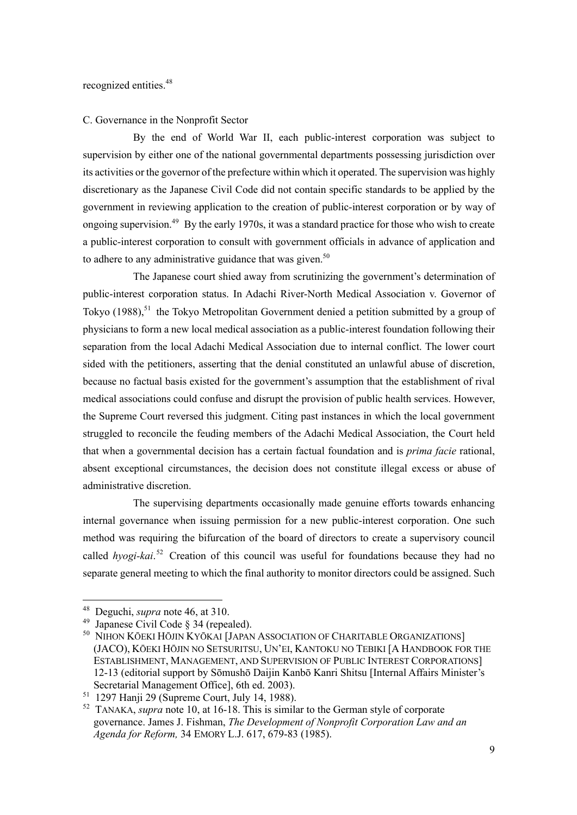#### C. Governance in the Nonprofit Sector

By the end of World War II, each public-interest corporation was subject to supervision by either one of the national governmental departments possessing jurisdiction over its activities or the governor of the prefecture within which it operated. The supervision was highly discretionary as the Japanese Civil Code did not contain specific standards to be applied by the government in reviewing application to the creation of public-interest corporation or by way of ongoing supervision.<sup>49</sup> By the early 1970s, it was a standard practice for those who wish to create a public-interest corporation to consult with government officials in advance of application and to adhere to any administrative guidance that was given.<sup>50</sup>

The Japanese court shied away from scrutinizing the government's determination of public-interest corporation status. In Adachi River-North Medical Association v. Governor of Tokyo (1988),<sup>51</sup> the Tokyo Metropolitan Government denied a petition submitted by a group of physicians to form a new local medical association as a public-interest foundation following their separation from the local Adachi Medical Association due to internal conflict. The lower court sided with the petitioners, asserting that the denial constituted an unlawful abuse of discretion, because no factual basis existed for the government's assumption that the establishment of rival medical associations could confuse and disrupt the provision of public health services. However, the Supreme Court reversed this judgment. Citing past instances in which the local government struggled to reconcile the feuding members of the Adachi Medical Association, the Court held that when a governmental decision has a certain factual foundation and is *prima facie* rational, absent exceptional circumstances, the decision does not constitute illegal excess or abuse of administrative discretion.

The supervising departments occasionally made genuine efforts towards enhancing internal governance when issuing permission for a new public-interest corporation. One such method was requiring the bifurcation of the board of directors to create a supervisory council called *hyogi-kai*. <sup>52</sup> Creation of this council was useful for foundations because they had no separate general meeting to which the final authority to monitor directors could be assigned. Such

<sup>48</sup> Deguchi, *supra* note 46, at 310.

<sup>&</sup>lt;sup>49</sup> Japanese Civil Code § 34 (repealed).

<sup>&</sup>lt;sup>50</sup> NIHON KŌEKI HŌJIN KYŌKAI [JAPAN ASSOCIATION OF CHARITABLE ORGANIZATIONS] (JACO), KŌEKI HŌJIN NO SETSURITSU, UN'EI, KANTOKU NO TEBIKI [A HANDBOOK FOR THE ESTABLISHMENT, MANAGEMENT, AND SUPERVISION OF PUBLIC INTEREST CORPORATIONS] 12-13 (editorial support by Sōmushō Daijin Kanbō Kanri Shitsu [Internal Affairs Minister's Secretarial Management Office], 6th ed. 2003).

<sup>51</sup> 1297 Hanji 29 (Supreme Court, July 14, 1988).

<sup>52</sup> TANAKA, *supra* note 10, at 16-18. This is similar to the German style of corporate governance. James J. Fishman, *The Development of Nonprofit Corporation Law and an Agenda for Reform,* 34 EMORY L.J. 617, 679-83 (1985).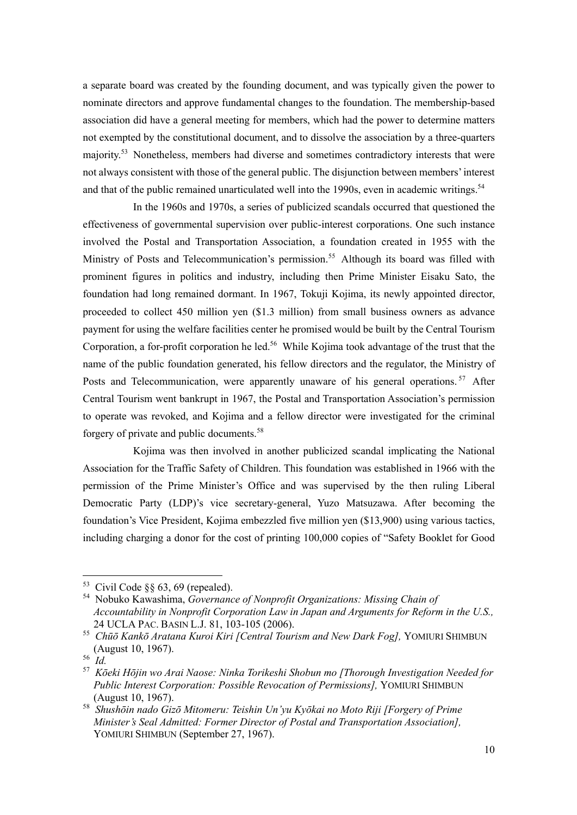a separate board was created by the founding document, and was typically given the power to nominate directors and approve fundamental changes to the foundation. The membership-based association did have a general meeting for members, which had the power to determine matters not exempted by the constitutional document, and to dissolve the association by a three-quarters majority.<sup>53</sup> Nonetheless, members had diverse and sometimes contradictory interests that were not always consistent with those of the general public. The disjunction between members' interest and that of the public remained unarticulated well into the 1990s, even in academic writings.<sup>54</sup>

In the 1960s and 1970s, a series of publicized scandals occurred that questioned the effectiveness of governmental supervision over public-interest corporations. One such instance involved the Postal and Transportation Association, a foundation created in 1955 with the Ministry of Posts and Telecommunication's permission.<sup>55</sup> Although its board was filled with prominent figures in politics and industry, including then Prime Minister Eisaku Sato, the foundation had long remained dormant. In 1967, Tokuji Kojima, its newly appointed director, proceeded to collect 450 million yen (\$1.3 million) from small business owners as advance payment for using the welfare facilities center he promised would be built by the Central Tourism Corporation, a for-profit corporation he led.<sup>56</sup> While Kojima took advantage of the trust that the name of the public foundation generated, his fellow directors and the regulator, the Ministry of Posts and Telecommunication, were apparently unaware of his general operations.<sup>57</sup> After Central Tourism went bankrupt in 1967, the Postal and Transportation Association's permission to operate was revoked, and Kojima and a fellow director were investigated for the criminal forgery of private and public documents. 58

Kojima was then involved in another publicized scandal implicating the National Association for the Traffic Safety of Children. This foundation was established in 1966 with the permission of the Prime Minister's Office and was supervised by the then ruling Liberal Democratic Party (LDP)'s vice secretary-general, Yuzo Matsuzawa. After becoming the foundation's Vice President, Kojima embezzled five million yen (\$13,900) using various tactics, including charging a donor for the cost of printing 100,000 copies of "Safety Booklet for Good

 $53$  Civil Code §§ 63, 69 (repealed).

<sup>54</sup> Nobuko Kawashima, *Governance of Nonprofit Organizations: Missing Chain of Accountability in Nonprofit Corporation Law in Japan and Arguments for Reform in the U.S.,*  24 UCLA PAC. BASIN L.J. 81, 103-105 (2006).

<sup>55</sup> *Chūō Kankō Aratana Kuroi Kiri [Central Tourism and New Dark Fog],* YOMIURI SHIMBUN (August 10, 1967).

<sup>56</sup> *Id.*

<sup>57</sup> *Kōeki Hōjin wo Arai Naose: Ninka Torikeshi Shobun mo [Thorough Investigation Needed for Public Interest Corporation: Possible Revocation of Permissions],* YOMIURI SHIMBUN (August 10, 1967).

<sup>58</sup> *Shushōin nado Gizō Mitomeru: Teishin Un'yu Kyōkai no Moto Riji [Forgery of Prime Minister's Seal Admitted: Former Director of Postal and Transportation Association],*  YOMIURI SHIMBUN (September 27, 1967).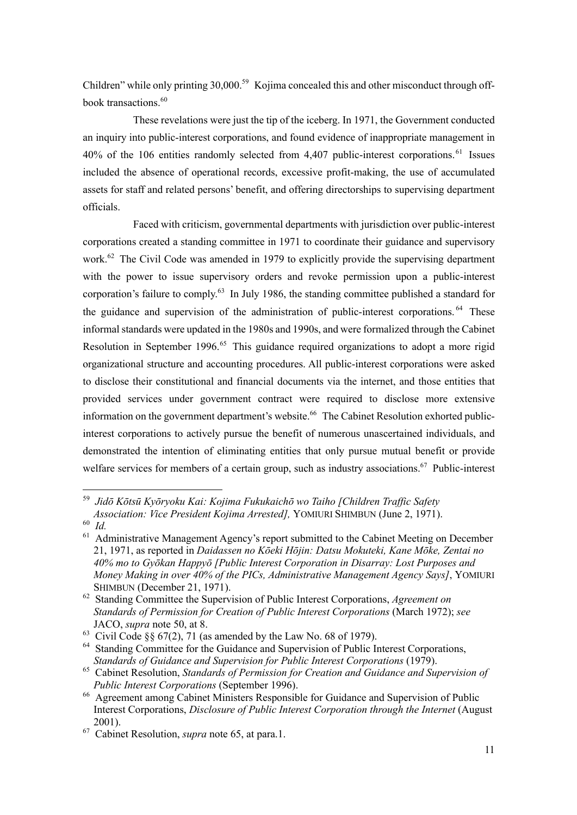Children" while only printing 30,000.<sup>59</sup> Kojima concealed this and other misconduct through offbook transactions. 60

These revelations were just the tip of the iceberg. In 1971, the Government conducted an inquiry into public-interest corporations, and found evidence of inappropriate management in 40% of the 106 entities randomly selected from 4,407 public-interest corporations.<sup>61</sup> Issues included the absence of operational records, excessive profit-making, the use of accumulated assets for staff and related persons' benefit, and offering directorships to supervising department officials.

Faced with criticism, governmental departments with jurisdiction over public-interest corporations created a standing committee in 1971 to coordinate their guidance and supervisory work.<sup>62</sup> The Civil Code was amended in 1979 to explicitly provide the supervising department with the power to issue supervisory orders and revoke permission upon a public-interest corporation's failure to comply.<sup>63</sup> In July 1986, the standing committee published a standard for the guidance and supervision of the administration of public-interest corporations. <sup>64</sup> These informal standards were updated in the 1980s and 1990s, and were formalized through the Cabinet Resolution in September 1996.<sup>65</sup> This guidance required organizations to adopt a more rigid organizational structure and accounting procedures. All public-interest corporations were asked to disclose their constitutional and financial documents via the internet, and those entities that provided services under government contract were required to disclose more extensive information on the government department's website.<sup>66</sup> The Cabinet Resolution exhorted publicinterest corporations to actively pursue the benefit of numerous unascertained individuals, and demonstrated the intention of eliminating entities that only pursue mutual benefit or provide welfare services for members of a certain group, such as industry associations.<sup>67</sup> Public-interest

<sup>59</sup> *Jidō Kōtsū Kyōryoku Kai: Kojima Fukukaichō wo Taiho [Children Traffic Safety Association: Vice President Kojima Arrested],* YOMIURI SHIMBUN (June 2, 1971).

<sup>60</sup> *Id.*

<sup>&</sup>lt;sup>61</sup> Administrative Management Agency's report submitted to the Cabinet Meeting on December 21, 1971, as reported in *Daidassen no Kōeki Hōjin: Datsu Mokuteki, Kane Mōke, Zentai no 40% mo to Gyōkan Happyō [Public Interest Corporation in Disarray: Lost Purposes and Money Making in over 40% of the PICs, Administrative Management Agency Says]*, YOMIURI SHIMBUN (December 21, 1971).

<sup>62</sup> Standing Committee the Supervision of Public Interest Corporations, *Agreement on Standards of Permission for Creation of Public Interest Corporations* (March 1972); *see* JACO, *supra* note 50, at 8.

<sup>&</sup>lt;sup>63</sup> Civil Code §§  $67(2)$ , 71 (as amended by the Law No. 68 of 1979).

<sup>&</sup>lt;sup>64</sup> Standing Committee for the Guidance and Supervision of Public Interest Corporations, *Standards of Guidance and Supervision for Public Interest Corporations* (1979).

<sup>65</sup> Cabinet Resolution, *Standards of Permission for Creation and Guidance and Supervision of Public Interest Corporations* (September 1996).

<sup>66</sup> Agreement among Cabinet Ministers Responsible for Guidance and Supervision of Public Interest Corporations, *Disclosure of Public Interest Corporation through the Internet* (August 2001).

<sup>67</sup> Cabinet Resolution, *supra* note 65, at para.1.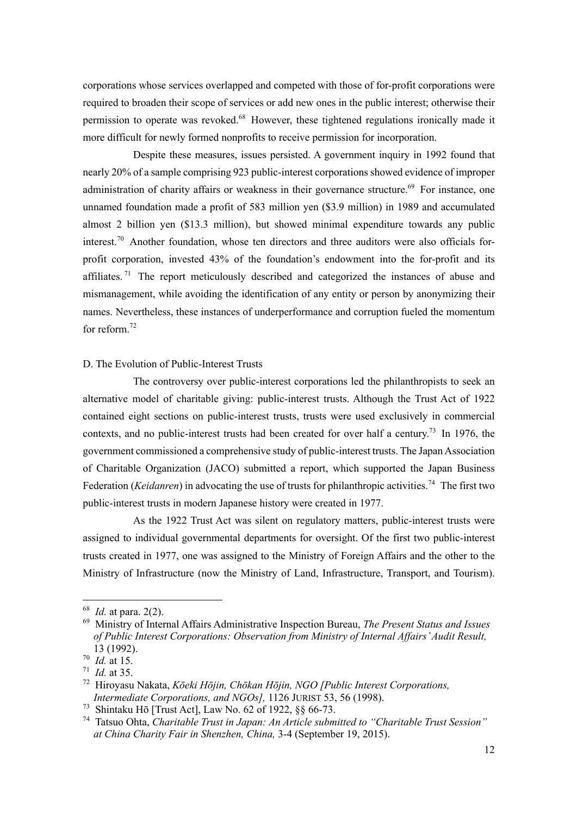corporations whose services overlapped and competed with those of for-profit corporations were required to broaden their scope of services or add new ones in the public interest; otherwise their permission to operate was revoked.<sup>68</sup> However, these tightened regulations ironically made it more difficult for newly formed nonprofits to receive permission for incorporation.

Despite these measures, issues persisted. A government inquiry in 1992 found that nearly 20% of a sample comprising 923 public-interest corporations showed evidence of improper administration of charity affairs or weakness in their governance structure.<sup>69</sup> For instance, one unnamed foundation made a profit of 583 million yen (\$3.9 million) in 1989 and accumulated almost 2 billion yen (\$13.3 million), but showed minimal expenditure towards any public interest.<sup>70</sup> Another foundation, whose ten directors and three auditors were also officials forprofit corporation, invested 43% of the foundation's endowment into the for-profit and its affiliates.<sup>71</sup> The report meticulously described and categorized the instances of abuse and mismanagement, while avoiding the identification of any entity or person by anonymizing their names. Nevertheless, these instances of underperformance and corruption fueled the momentum for reform.<sup>72</sup>

#### D. The Evolution of Public-Interest Trusts

The controversy over public-interest corporations led the philanthropists to seek an alternative model of charitable giving: public-interest trusts. Although the Trust Act of 1922 contained eight sections on public-interest trusts, trusts were used exclusively in commercial contexts, and no public-interest trusts had been created for over half a century.<sup>73</sup> In 1976, the government commissioned a comprehensive study of public-interest trusts. The Japan Association of Charitable Organization (JACO) submitted a report, which supported the Japan Business Federation (*Keidanren*) in advocating the use of trusts for philanthropic activities.<sup>74</sup> The first two public-interest trusts in modern Japanese history were created in 1977.

As the 1922 Trust Act was silent on regulatory matters, public-interest trusts were assigned to individual governmental departments for oversight. Of the first two public-interest trusts created in 1977, one was assigned to the Ministry of Foreign Affairs and the other to the Ministry of Infrastructure (now the Ministry of Land, Infrastructure, Transport, and Tourism).

<sup>68</sup> *Id.* at para. 2(2).

<sup>69</sup> Ministry of Internal Affairs Administrative Inspection Bureau, *The Present Status and Issues of Public Interest Corporations: Observation from Ministry of Internal Affairs' Audit Result,*  13 (1992).

<sup>70</sup> *Id.* at 15.

<sup>71</sup> *Id.* at 35.

<sup>72</sup> Hiroyasu Nakata, *Kōeki Hōjin, Chōkan Hōjin, NGO [Public Interest Corporations, Intermediate Corporations, and NGOs],* 1126 JURIST 53, 56 (1998).

<sup>73</sup> Shintaku Hō [Trust Act], Law No. 62 of 1922, §§ 66-73.

<sup>74</sup> Tatsuo Ohta, *Charitable Trust in Japan: An Article submitted to "Charitable Trust Session" at China Charity Fair in Shenzhen, China,* 3-4 (September 19, 2015).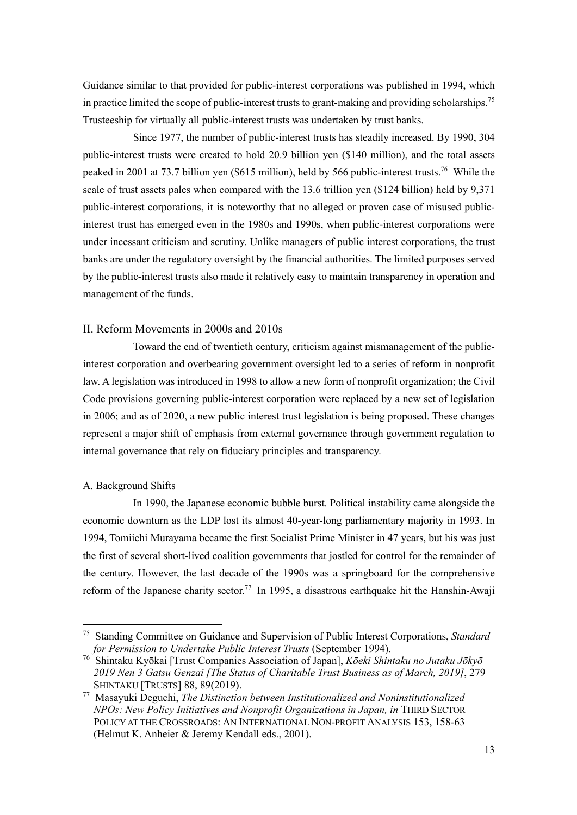Guidance similar to that provided for public-interest corporations was published in 1994, which in practice limited the scope of public-interest trusts to grant-making and providing scholarships.<sup>75</sup> Trusteeship for virtually all public-interest trusts was undertaken by trust banks.

Since 1977, the number of public-interest trusts has steadily increased. By 1990, 304 public-interest trusts were created to hold 20.9 billion yen (\$140 million), and the total assets peaked in 2001 at 73.7 billion yen (\$615 million), held by 566 public-interest trusts. <sup>76</sup> While the scale of trust assets pales when compared with the 13.6 trillion yen (\$124 billion) held by 9,371 public-interest corporations, it is noteworthy that no alleged or proven case of misused publicinterest trust has emerged even in the 1980s and 1990s, when public-interest corporations were under incessant criticism and scrutiny. Unlike managers of public interest corporations, the trust banks are under the regulatory oversight by the financial authorities. The limited purposes served by the public-interest trusts also made it relatively easy to maintain transparency in operation and management of the funds.

## II. Reform Movements in 2000s and 2010s

Toward the end of twentieth century, criticism against mismanagement of the publicinterest corporation and overbearing government oversight led to a series of reform in nonprofit law. A legislation was introduced in 1998 to allow a new form of nonprofit organization; the Civil Code provisions governing public-interest corporation were replaced by a new set of legislation in 2006; and as of 2020, a new public interest trust legislation is being proposed. These changes represent a major shift of emphasis from external governance through government regulation to internal governance that rely on fiduciary principles and transparency.

#### A. Background Shifts

In 1990, the Japanese economic bubble burst. Political instability came alongside the economic downturn as the LDP lost its almost 40-year-long parliamentary majority in 1993. In 1994, Tomiichi Murayama became the first Socialist Prime Minister in 47 years, but his was just the first of several short-lived coalition governments that jostled for control for the remainder of the century. However, the last decade of the 1990s was a springboard for the comprehensive reform of the Japanese charity sector.<sup>77</sup> In 1995, a disastrous earthquake hit the Hanshin-Awaji

<sup>75</sup> Standing Committee on Guidance and Supervision of Public Interest Corporations, *Standard for Permission to Undertake Public Interest Trusts* (September 1994).

<sup>76</sup> Shintaku Kyōkai [Trust Companies Association of Japan], *Kōeki Shintaku no Jutaku Jōkyō 2019 Nen 3 Gatsu Genzai [The Status of Charitable Trust Business as of March, 2019]*, 279 SHINTAKU [TRUSTS] 88, 89(2019).

<sup>77</sup> Masayuki Deguchi, *The Distinction between Institutionalized and Noninstitutionalized NPOs: New Policy Initiatives and Nonprofit Organizations in Japan, in* THIRD SECTOR POLICY AT THE CROSSROADS: AN INTERNATIONAL NON-PROFIT ANALYSIS 153, 158-63 (Helmut K. Anheier & Jeremy Kendall eds., 2001).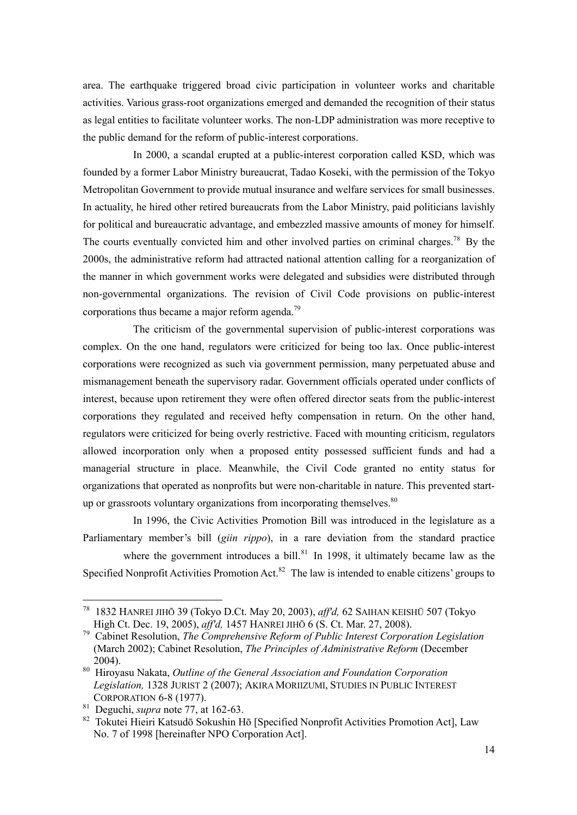area. The earthquake triggered broad civic participation in volunteer works and charitable activities. Various grass-root organizations emerged and demanded the recognition of their status as legal entities to facilitate volunteer works. The non-LDP administration was more receptive to the public demand for the reform of public-interest corporations.

In 2000, a scandal erupted at a public-interest corporation called KSD, which was founded by a former Labor Ministry bureaucrat, Tadao Koseki, with the permission of the Tokyo Metropolitan Government to provide mutual insurance and welfare services for small businesses. In actuality, he hired other retired bureaucrats from the Labor Ministry, paid politicians lavishly for political and bureaucratic advantage, and embezzled massive amounts of money for himself. The courts eventually convicted him and other involved parties on criminal charges.<sup>78</sup> By the 2000s, the administrative reform had attracted national attention calling for a reorganization of the manner in which government works were delegated and subsidies were distributed through non-governmental organizations. The revision of Civil Code provisions on public-interest corporations thus became a major reform agenda.<sup>79</sup>

The criticism of the governmental supervision of public-interest corporations was complex. On the one hand, regulators were criticized for being too lax. Once public-interest corporations were recognized as such via government permission, many perpetuated abuse and mismanagement beneath the supervisory radar. Government officials operated under conflicts of interest, because upon retirement they were often offered director seats from the public-interest corporations they regulated and received hefty compensation in return. On the other hand, regulators were criticized for being overly restrictive. Faced with mounting criticism, regulators allowed incorporation only when a proposed entity possessed sufficient funds and had a managerial structure in place. Meanwhile, the Civil Code granted no entity status for organizations that operated as nonprofits but were non-charitable in nature. This prevented startup or grassroots voluntary organizations from incorporating themselves. $80$ 

In 1996, the Civic Activities Promotion Bill was introduced in the legislature as a Parliamentary member's bill (*giin rippo*), in a rare deviation from the standard practice

where the government introduces a bill. $81$  In 1998, it ultimately became law as the Specified Nonprofit Activities Promotion Act.<sup>82</sup> The law is intended to enable citizens' groups to

<sup>78</sup> 1832 HANREI JIHŌ 39 (Tokyo D.Ct. May 20, 2003), *aff'd,* 62 SAIHAN KEISHŪ 507 (Tokyo High Ct. Dec. 19, 2005), *aff'd,* 1457 HANREI JIHŌ 6 (S. Ct. Mar. 27, 2008).

<sup>79</sup> Cabinet Resolution, *The Comprehensive Reform of Public Interest Corporation Legislation*  (March 2002); Cabinet Resolution, *The Principles of Administrative Reform* (December 2004).

<sup>80</sup> Hiroyasu Nakata, *Outline of the General Association and Foundation Corporation Legislation,* 1328 JURIST 2 (2007); AKIRA MORIIZUMI, STUDIES IN PUBLIC INTEREST CORPORATION 6-8 (1977).

<sup>81</sup> Deguchi, *supra* note 77, at 162-63.

<sup>82</sup> Tokutei Hieiri Katsudō Sokushin Hō [Specified Nonprofit Activities Promotion Act], Law No. 7 of 1998 [hereinafter NPO Corporation Act].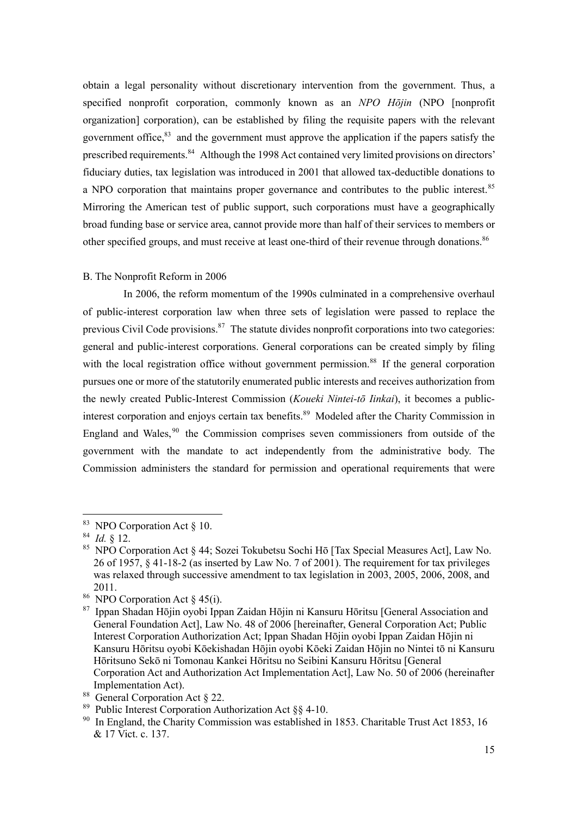obtain a legal personality without discretionary intervention from the government. Thus, a specified nonprofit corporation, commonly known as an *NPO Hōjin* (NPO [nonprofit organization] corporation), can be established by filing the requisite papers with the relevant government office,<sup>83</sup> and the government must approve the application if the papers satisfy the prescribed requirements.<sup>84</sup> Although the 1998 Act contained very limited provisions on directors' fiduciary duties, tax legislation was introduced in 2001 that allowed tax-deductible donations to a NPO corporation that maintains proper governance and contributes to the public interest.<sup>85</sup> Mirroring the American test of public support, such corporations must have a geographically broad funding base or service area, cannot provide more than half of their services to members or other specified groups, and must receive at least one-third of their revenue through donations.<sup>86</sup>

#### B. The Nonprofit Reform in 2006

In 2006, the reform momentum of the 1990s culminated in a comprehensive overhaul of public-interest corporation law when three sets of legislation were passed to replace the previous Civil Code provisions.<sup>87</sup> The statute divides nonprofit corporations into two categories: general and public-interest corporations. General corporations can be created simply by filing with the local registration office without government permission.<sup>88</sup> If the general corporation pursues one or more of the statutorily enumerated public interests and receives authorization from the newly created Public-Interest Commission (*Koueki Nintei-tō Iinkai*), it becomes a publicinterest corporation and enjoys certain tax benefits. <sup>89</sup> Modeled after the Charity Commission in England and Wales,<sup>90</sup> the Commission comprises seven commissioners from outside of the government with the mandate to act independently from the administrative body. The Commission administers the standard for permission and operational requirements that were

<sup>83</sup> NPO Corporation Act § 10.

<sup>84</sup> *Id.* § 12.

<sup>85</sup> NPO Corporation Act § 44; Sozei Tokubetsu Sochi Hō [Tax Special Measures Act], Law No. 26 of 1957, § 41-18-2 (as inserted by Law No. 7 of 2001). The requirement for tax privileges was relaxed through successive amendment to tax legislation in 2003, 2005, 2006, 2008, and 2011.

<sup>&</sup>lt;sup>86</sup> NPO Corporation Act  $\S$  45(i).

<sup>87</sup> Ippan Shadan Hōjin oyobi Ippan Zaidan Hōjin ni Kansuru Hōritsu [General Association and General Foundation Act], Law No. 48 of 2006 [hereinafter, General Corporation Act; Public Interest Corporation Authorization Act; Ippan Shadan Hōjin oyobi Ippan Zaidan Hōjin ni Kansuru Hōritsu oyobi Kōekishadan Hōjin oyobi Kōeki Zaidan Hōjin no Nintei tō ni Kansuru Hōritsuno Sekō ni Tomonau Kankei Hōritsu no Seibini Kansuru Hōritsu [General Corporation Act and Authorization Act Implementation Act], Law No. 50 of 2006 (hereinafter Implementation Act).

<sup>88</sup> General Corporation Act § 22.

<sup>89</sup> Public Interest Corporation Authorization Act §§ 4-10.

<sup>&</sup>lt;sup>90</sup> In England, the Charity Commission was established in 1853. Charitable Trust Act 1853, 16 & 17 Vict. c. 137.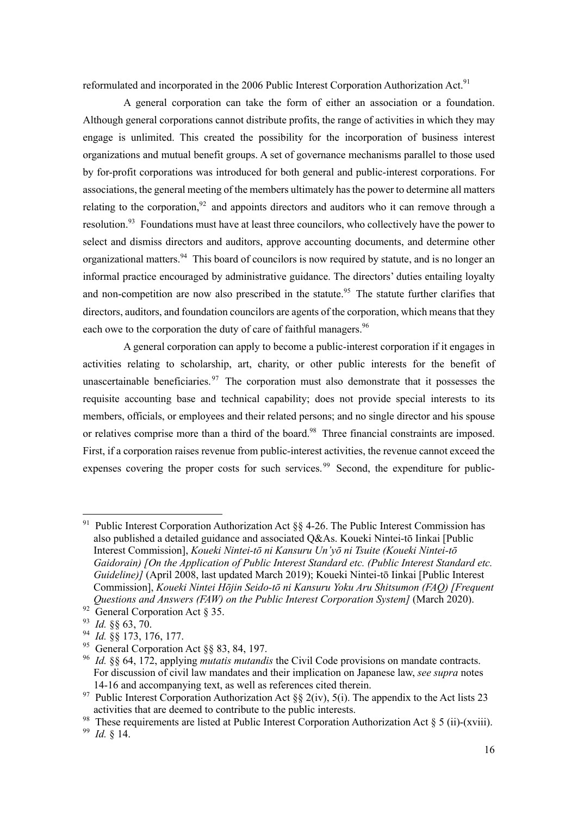reformulated and incorporated in the 2006 Public Interest Corporation Authorization Act.<sup>91</sup>

A general corporation can take the form of either an association or a foundation. Although general corporations cannot distribute profits, the range of activities in which they may engage is unlimited. This created the possibility for the incorporation of business interest organizations and mutual benefit groups. A set of governance mechanisms parallel to those used by for-profit corporations was introduced for both general and public-interest corporations. For associations, the general meeting of the members ultimately has the power to determine all matters relating to the corporation,<sup>92</sup> and appoints directors and auditors who it can remove through a resolution.<sup>93</sup> Foundations must have at least three councilors, who collectively have the power to select and dismiss directors and auditors, approve accounting documents, and determine other organizational matters.<sup>94</sup> This board of councilors is now required by statute, and is no longer an informal practice encouraged by administrative guidance. The directors' duties entailing loyalty and non-competition are now also prescribed in the statute.<sup>95</sup> The statute further clarifies that directors, auditors, and foundation councilors are agents of the corporation, which means that they each owe to the corporation the duty of care of faithful managers.<sup>96</sup>

A general corporation can apply to become a public-interest corporation if it engages in activities relating to scholarship, art, charity, or other public interests for the benefit of unascertainable beneficiaries.  $97$  The corporation must also demonstrate that it possesses the requisite accounting base and technical capability; does not provide special interests to its members, officials, or employees and their related persons; and no single director and his spouse or relatives comprise more than a third of the board.<sup>98</sup> Three financial constraints are imposed. First, if a corporation raises revenue from public-interest activities, the revenue cannot exceed the expenses covering the proper costs for such services.<sup>99</sup> Second, the expenditure for public-

<sup>&</sup>lt;sup>91</sup> Public Interest Corporation Authorization Act  $\S$  4-26. The Public Interest Commission has also published a detailed guidance and associated Q&As. Koueki Nintei-tō Iinkai [Public Interest Commission], *Koueki Nintei-tō ni Kansuru Un'yō ni Tsuite (Koueki Nintei-tō Gaidorain) [On the Application of Public Interest Standard etc. (Public Interest Standard etc. Guideline)]* (April 2008, last updated March 2019); Koueki Nintei-tō Iinkai [Public Interest Commission], *Koueki Nintei Hōjin Seido-tō ni Kansuru Yoku Aru Shitsumon (FAQ) [Frequent Questions and Answers (FAW) on the Public Interest Corporation System]* (March 2020).

<sup>92</sup> General Corporation Act § 35.

<sup>93</sup> *Id.* §§ 63, 70.

<sup>94</sup> *Id.* §§ 173, 176, 177.

<sup>&</sup>lt;sup>95</sup> General Corporation Act §§ 83, 84, 197.

<sup>96</sup> *Id.* §§ 64, 172, applying *mutatis mutandis* the Civil Code provisions on mandate contracts. For discussion of civil law mandates and their implication on Japanese law, *see supra* notes 14-16 and accompanying text, as well as references cited therein.

<sup>&</sup>lt;sup>97</sup> Public Interest Corporation Authorization Act §§ 2(iv), 5(i). The appendix to the Act lists 23 activities that are deemed to contribute to the public interests.

<sup>&</sup>lt;sup>98</sup> These requirements are listed at Public Interest Corporation Authorization Act  $\S 5$  (ii)-(xviii).

<sup>99</sup> *Id.* § 14.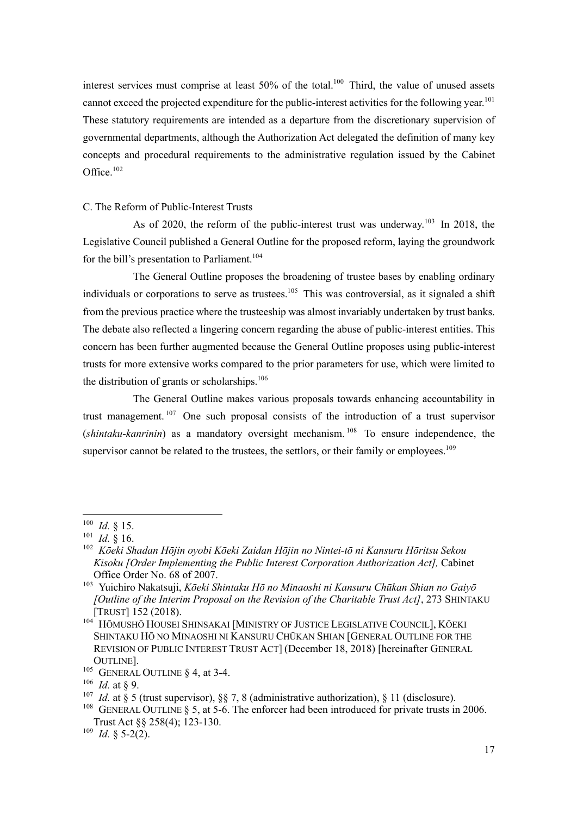interest services must comprise at least 50% of the total.<sup>100</sup> Third, the value of unused assets cannot exceed the projected expenditure for the public-interest activities for the following year.<sup>101</sup> These statutory requirements are intended as a departure from the discretionary supervision of governmental departments, although the Authorization Act delegated the definition of many key concepts and procedural requirements to the administrative regulation issued by the Cabinet Office. 102

#### C. The Reform of Public-Interest Trusts

As of 2020, the reform of the public-interest trust was underway.<sup>103</sup> In 2018, the Legislative Council published a General Outline for the proposed reform, laying the groundwork for the bill's presentation to Parliament.<sup>104</sup>

The General Outline proposes the broadening of trustee bases by enabling ordinary individuals or corporations to serve as trustees.<sup>105</sup> This was controversial, as it signaled a shift from the previous practice where the trusteeship was almost invariably undertaken by trust banks. The debate also reflected a lingering concern regarding the abuse of public-interest entities. This concern has been further augmented because the General Outline proposes using public-interest trusts for more extensive works compared to the prior parameters for use, which were limited to the distribution of grants or scholarships.<sup>106</sup>

The General Outline makes various proposals towards enhancing accountability in trust management.<sup>107</sup> One such proposal consists of the introduction of a trust supervisor (*shintaku-kanrinin*) as a mandatory oversight mechanism. <sup>108</sup> To ensure independence, the supervisor cannot be related to the trustees, the settlors, or their family or employees.<sup>109</sup>

<sup>100</sup> *Id.* § 15.

<sup>101</sup> *Id.* § 16.

<sup>102</sup> *Kōeki Shadan Hōjin oyobi Kōeki Zaidan Hōjin no Nintei-tō ni Kansuru Hōritsu Sekou Kisoku [Order Implementing the Public Interest Corporation Authorization Act],* Cabinet Office Order No. 68 of 2007.

<sup>103</sup> Yuichiro Nakatsuji, *Kōeki Shintaku Hō no Minaoshi ni Kansuru Chūkan Shian no Gaiyō [Outline of the Interim Proposal on the Revision of the Charitable Trust Act]*, 273 SHINTAKU [TRUST] 152 (2018).

<sup>104</sup> HŌMUSHŌ HOUSEI SHINSAKAI [MINISTRY OF JUSTICE LEGISLATIVE COUNCIL], KŌEKI SHINTAKU HŌ NO MINAOSHI NI KANSURU CHŪKAN SHIAN [GENERAL OUTLINE FOR THE REVISION OF PUBLIC INTEREST TRUST ACT] (December 18, 2018) [hereinafter GENERAL OUTLINE].

<sup>&</sup>lt;sup>105</sup> GENERAL OUTLINE  $\S$  4, at 3-4.

<sup>106</sup> *Id.* at § 9.

<sup>&</sup>lt;sup>107</sup> *Id.* at § 5 (trust supervisor), §§ 7, 8 (administrative authorization), § 11 (disclosure).

<sup>&</sup>lt;sup>108</sup> GENERAL OUTLINE § 5, at 5-6. The enforcer had been introduced for private trusts in 2006. Trust Act §§ 258(4); 123-130.

 $109$  *Id.* § 5-2(2).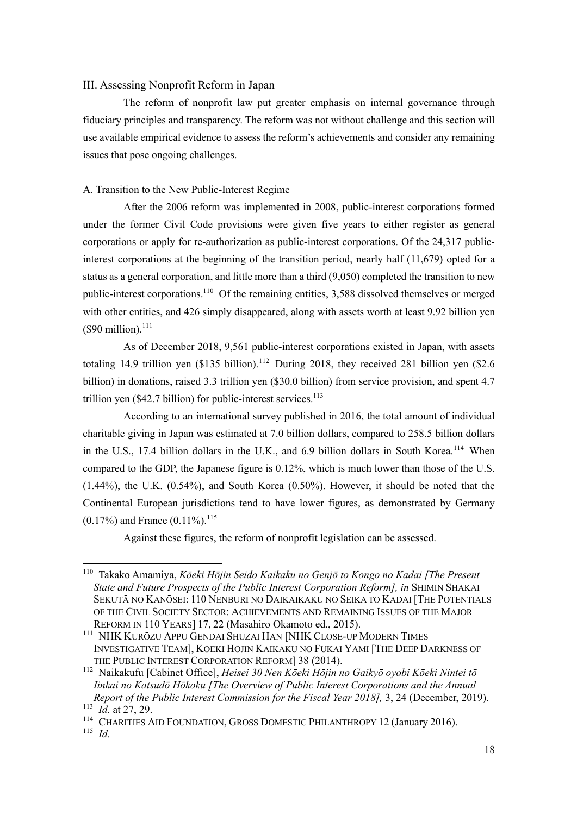## III. Assessing Nonprofit Reform in Japan

The reform of nonprofit law put greater emphasis on internal governance through fiduciary principles and transparency. The reform was not without challenge and this section will use available empirical evidence to assess the reform's achievements and consider any remaining issues that pose ongoing challenges.

## A. Transition to the New Public-Interest Regime

After the 2006 reform was implemented in 2008, public-interest corporations formed under the former Civil Code provisions were given five years to either register as general corporations or apply for re-authorization as public-interest corporations. Of the 24,317 publicinterest corporations at the beginning of the transition period, nearly half (11,679) opted for a status as a general corporation, and little more than a third (9,050) completed the transition to new public-interest corporations.<sup>110</sup> Of the remaining entities, 3,588 dissolved themselves or merged with other entities, and 426 simply disappeared, along with assets worth at least 9.92 billion yen  $($90 \text{ million})$ .<sup>111</sup>

As of December 2018, 9,561 public-interest corporations existed in Japan, with assets totaling 14.9 trillion yen  $(\$135 \text{ billion})$ .<sup>112</sup> During 2018, they received 281 billion yen  $(\$2.6$ billion) in donations, raised 3.3 trillion yen (\$30.0 billion) from service provision, and spent 4.7 trillion yen  $(\$42.7$  billion) for public-interest services.<sup>113</sup>

According to an international survey published in 2016, the total amount of individual charitable giving in Japan was estimated at 7.0 billion dollars, compared to 258.5 billion dollars in the U.S., 17.4 billion dollars in the U.K., and 6.9 billion dollars in South Korea.<sup>114</sup> When compared to the GDP, the Japanese figure is 0.12%, which is much lower than those of the U.S. (1.44%), the U.K. (0.54%), and South Korea (0.50%). However, it should be noted that the Continental European jurisdictions tend to have lower figures, as demonstrated by Germany  $(0.17\%)$  and France  $(0.11\%)$ .<sup>115</sup>

Against these figures, the reform of nonprofit legislation can be assessed.

<sup>110</sup> Takako Amamiya, *Kōeki Hōjin Seido Kaikaku no Genjō to Kongo no Kadai [The Present State and Future Prospects of the Public Interest Corporation Reform], in* SHIMIN SHAKAI SEKUTĀ NO KANŌSEI: 110 NENBURI NO DAIKAIKAKU NO SEIKA TO KADAI [THE POTENTIALS OF THE CIVIL SOCIETY SECTOR: ACHIEVEMENTS AND REMAINING ISSUES OF THE MAJOR REFORM IN 110 YEARS] 17, 22 (Masahiro Okamoto ed., 2015).

<sup>111</sup> NHK KURŌZU APPU GENDAI SHUZAI HAN [NHK CLOSE-UP MODERN TIMES INVESTIGATIVE TEAM], KŌEKI HŌJIN KAIKAKU NO FUKAI YAMI [THE DEEP DARKNESS OF THE PUBLIC INTEREST CORPORATION REFORM] 38 (2014).

<sup>112</sup> Naikakufu [Cabinet Office], *Heisei 30 Nen Kōeki Hōjin no Gaikyō oyobi Kōeki Nintei tō Iinkai no Katsudō Hōkoku [The Overview of Public Interest Corporations and the Annual Report of the Public Interest Commission for the Fiscal Year 2018],* 3, 24 (December, 2019). <sup>113</sup> *Id.* at 27, 29.

<sup>&</sup>lt;sup>114</sup> CHARITIES AID FOUNDATION, GROSS DOMESTIC PHILANTHROPY 12 (January 2016). <sup>115</sup> *Id.*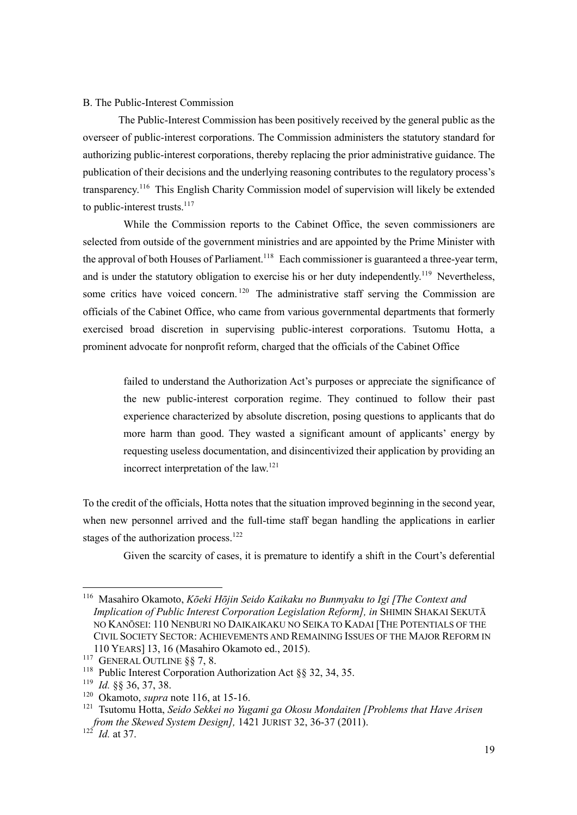#### B. The Public-Interest Commission

The Public-Interest Commission has been positively received by the general public as the overseer of public-interest corporations. The Commission administers the statutory standard for authorizing public-interest corporations, thereby replacing the prior administrative guidance. The publication of their decisions and the underlying reasoning contributes to the regulatory process's transparency.<sup>116</sup> This English Charity Commission model of supervision will likely be extended to public-interest trusts.<sup>117</sup>

While the Commission reports to the Cabinet Office, the seven commissioners are selected from outside of the government ministries and are appointed by the Prime Minister with the approval of both Houses of Parliament.<sup>118</sup> Each commissioner is guaranteed a three-year term, and is under the statutory obligation to exercise his or her duty independently.<sup>119</sup> Nevertheless, some critics have voiced concern.<sup>120</sup> The administrative staff serving the Commission are officials of the Cabinet Office, who came from various governmental departments that formerly exercised broad discretion in supervising public-interest corporations. Tsutomu Hotta, a prominent advocate for nonprofit reform, charged that the officials of the Cabinet Office

failed to understand the Authorization Act's purposes or appreciate the significance of the new public-interest corporation regime. They continued to follow their past experience characterized by absolute discretion, posing questions to applicants that do more harm than good. They wasted a significant amount of applicants' energy by requesting useless documentation, and disincentivized their application by providing an incorrect interpretation of the law.121

To the credit of the officials, Hotta notes that the situation improved beginning in the second year, when new personnel arrived and the full-time staff began handling the applications in earlier stages of the authorization process.<sup>122</sup>

Given the scarcity of cases, it is premature to identify a shift in the Court's deferential

<sup>116</sup> Masahiro Okamoto, *Kōeki Hōjin Seido Kaikaku no Bunmyaku to Igi [The Context and Implication of Public Interest Corporation Legislation Reform], in SHIMIN SHAKAI SEKUTA* NO KANŌSEI: 110 NENBURI NO DAIKAIKAKU NO SEIKA TO KADAI [THE POTENTIALS OF THE CIVIL SOCIETY SECTOR: ACHIEVEMENTS AND REMAINING ISSUES OF THE MAJOR REFORM IN 110 YEARS] 13, 16 (Masahiro Okamoto ed., 2015).

<sup>&</sup>lt;sup>117</sup> GENERAL OUTLINE §§ 7, 8.

<sup>&</sup>lt;sup>118</sup> Public Interest Corporation Authorization Act §§ 32, 34, 35.

<sup>119</sup> *Id.* §§ 36, 37, 38.

<sup>120</sup> Okamoto, *supra* note 116, at 15-16.

<sup>121</sup> Tsutomu Hotta, *Seido Sekkei no Yugami ga Okosu Mondaiten [Problems that Have Arisen from the Skewed System Design],* 1421 JURIST 32, 36-37 (2011).

<sup>122</sup> *Id.* at 37.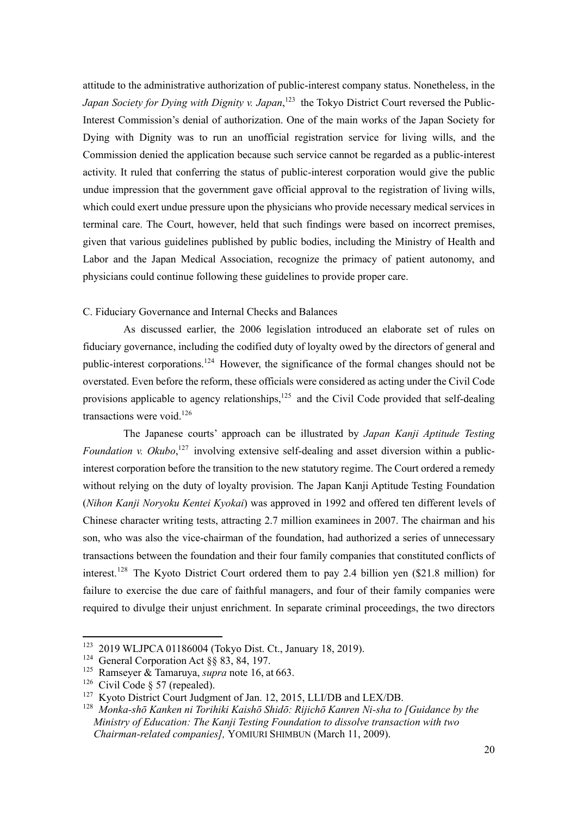attitude to the administrative authorization of public-interest company status. Nonetheless, in the *Japan Society for Dying with Dignity v. Japan*, <sup>123</sup> the Tokyo District Court reversed the Public-Interest Commission's denial of authorization. One of the main works of the Japan Society for Dying with Dignity was to run an unofficial registration service for living wills, and the Commission denied the application because such service cannot be regarded as a public-interest activity. It ruled that conferring the status of public-interest corporation would give the public undue impression that the government gave official approval to the registration of living wills, which could exert undue pressure upon the physicians who provide necessary medical services in terminal care. The Court, however, held that such findings were based on incorrect premises, given that various guidelines published by public bodies, including the Ministry of Health and Labor and the Japan Medical Association, recognize the primacy of patient autonomy, and physicians could continue following these guidelines to provide proper care.

## C. Fiduciary Governance and Internal Checks and Balances

As discussed earlier, the 2006 legislation introduced an elaborate set of rules on fiduciary governance, including the codified duty of loyalty owed by the directors of general and public-interest corporations.<sup>124</sup> However, the significance of the formal changes should not be overstated. Even before the reform, these officials were considered as acting under the Civil Code provisions applicable to agency relationships,  $125$  and the Civil Code provided that self-dealing transactions were void. $126$ 

The Japanese courts' approach can be illustrated by *Japan Kanji Aptitude Testing*  Foundation v. Okubo,<sup>127</sup> involving extensive self-dealing and asset diversion within a publicinterest corporation before the transition to the new statutory regime. The Court ordered a remedy without relying on the duty of loyalty provision. The Japan Kanji Aptitude Testing Foundation (*Nihon Kanji Noryoku Kentei Kyokai*) was approved in 1992 and offered ten different levels of Chinese character writing tests, attracting 2.7 million examinees in 2007. The chairman and his son, who was also the vice-chairman of the foundation, had authorized a series of unnecessary transactions between the foundation and their four family companies that constituted conflicts of interest. <sup>128</sup> The Kyoto District Court ordered them to pay 2.4 billion yen (\$21.8 million) for failure to exercise the due care of faithful managers, and four of their family companies were required to divulge their unjust enrichment. In separate criminal proceedings, the two directors

<sup>123</sup> 2019 WLJPCA 01186004 (Tokyo Dist. Ct., January 18, 2019).

<sup>&</sup>lt;sup>124</sup> General Corporation Act §§ 83, 84, 197.

<sup>125</sup> Ramseyer & Tamaruya, *supra* note 16, at 663.

<sup>&</sup>lt;sup>126</sup> Civil Code § 57 (repealed).

<sup>&</sup>lt;sup>127</sup> Kyoto District Court Judgment of Jan. 12, 2015, LLI/DB and LEX/DB.

<sup>128</sup> *Monka-shō Kanken ni Torihiki Kaishō Shidō: Rijichō Kanren Ni-sha to [Guidance by the Ministry of Education: The Kanji Testing Foundation to dissolve transaction with two Chairman-related companies],* YOMIURI SHIMBUN (March 11, 2009).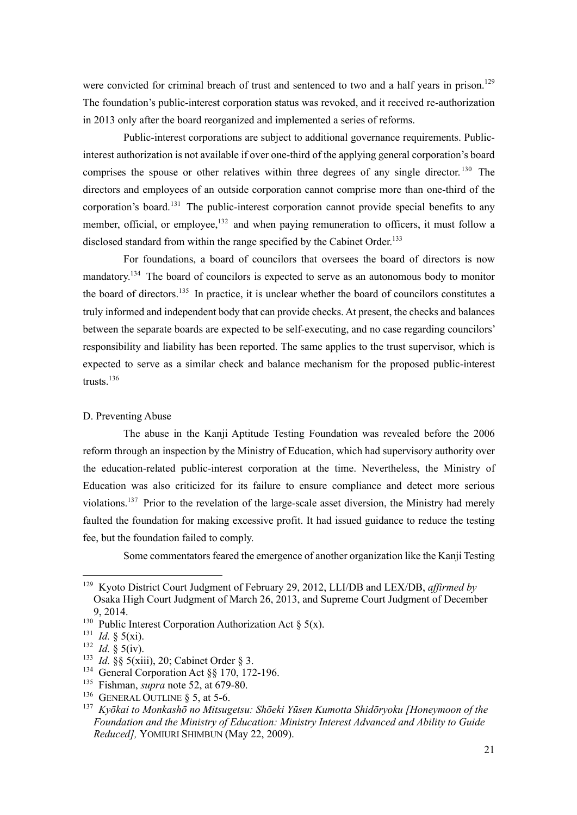were convicted for criminal breach of trust and sentenced to two and a half years in prison.<sup>129</sup> The foundation's public-interest corporation status was revoked, and it received re-authorization in 2013 only after the board reorganized and implemented a series of reforms.

Public-interest corporations are subject to additional governance requirements. Publicinterest authorization is not available if over one-third of the applying general corporation's board comprises the spouse or other relatives within three degrees of any single director.<sup>130</sup> The directors and employees of an outside corporation cannot comprise more than one-third of the corporation's board.<sup>131</sup> The public-interest corporation cannot provide special benefits to any member, official, or employee, $132$  and when paying remuneration to officers, it must follow a disclosed standard from within the range specified by the Cabinet Order.<sup>133</sup>

For foundations, a board of councilors that oversees the board of directors is now mandatory.<sup>134</sup> The board of councilors is expected to serve as an autonomous body to monitor the board of directors.<sup>135</sup> In practice, it is unclear whether the board of councilors constitutes a truly informed and independent body that can provide checks. At present, the checks and balances between the separate boards are expected to be self-executing, and no case regarding councilors' responsibility and liability has been reported. The same applies to the trust supervisor, which is expected to serve as a similar check and balance mechanism for the proposed public-interest trusts. 136

#### D. Preventing Abuse

The abuse in the Kanji Aptitude Testing Foundation was revealed before the 2006 reform through an inspection by the Ministry of Education, which had supervisory authority over the education-related public-interest corporation at the time. Nevertheless, the Ministry of Education was also criticized for its failure to ensure compliance and detect more serious violations.<sup>137</sup> Prior to the revelation of the large-scale asset diversion, the Ministry had merely faulted the foundation for making excessive profit. It had issued guidance to reduce the testing fee, but the foundation failed to comply.

Some commentators feared the emergence of another organization like the Kanji Testing

<sup>129</sup> Kyoto District Court Judgment of February 29, 2012, LLI/DB and LEX/DB, *affirmed by*  Osaka High Court Judgment of March 26, 2013, and Supreme Court Judgment of December 9, 2014.

<sup>&</sup>lt;sup>130</sup> Public Interest Corporation Authorization Act § 5(x).

<sup>131</sup> *Id.* § 5(xi).

<sup>132</sup> *Id.* § 5(iv).

<sup>133</sup> *Id.* §§ 5(xiii), 20; Cabinet Order § 3.

<sup>&</sup>lt;sup>134</sup> General Corporation Act §§ 170, 172-196.

<sup>135</sup> Fishman, *supra* note 52, at 679-80.

<sup>&</sup>lt;sup>136</sup> GENERAL OUTLINE  $\S$  5, at 5-6.

<sup>137</sup> *Kyōkai to Monkashō no Mitsugetsu: Shōeki Yūsen Kumotta Shidōryoku [Honeymoon of the Foundation and the Ministry of Education: Ministry Interest Advanced and Ability to Guide Reduced],* YOMIURI SHIMBUN (May 22, 2009).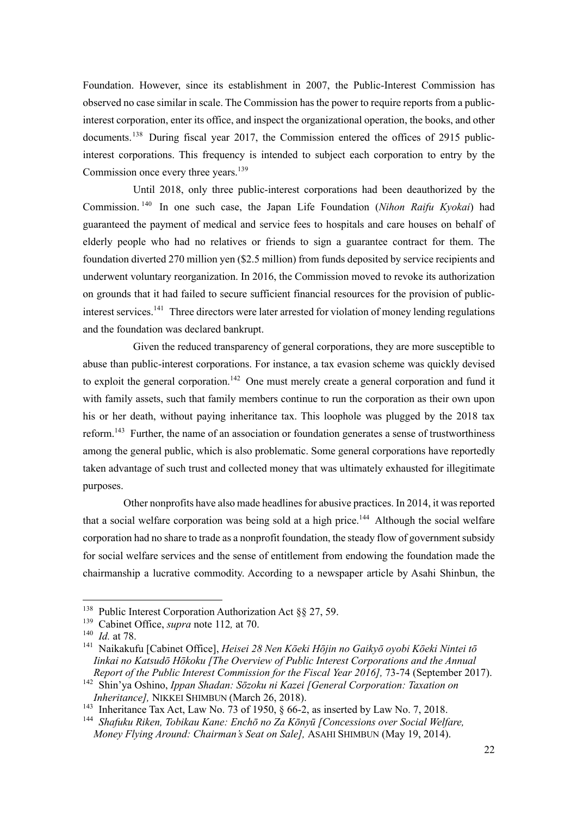Foundation. However, since its establishment in 2007, the Public-Interest Commission has observed no case similar in scale. The Commission has the power to require reports from a publicinterest corporation, enter its office, and inspect the organizational operation, the books, and other documents.<sup>138</sup> During fiscal year 2017, the Commission entered the offices of 2915 publicinterest corporations. This frequency is intended to subject each corporation to entry by the Commission once every three years.<sup>139</sup>

Until 2018, only three public-interest corporations had been deauthorized by the Commission. <sup>140</sup> In one such case, the Japan Life Foundation (*Nihon Raifu Kyokai*) had guaranteed the payment of medical and service fees to hospitals and care houses on behalf of elderly people who had no relatives or friends to sign a guarantee contract for them. The foundation diverted 270 million yen (\$2.5 million) from funds deposited by service recipients and underwent voluntary reorganization. In 2016, the Commission moved to revoke its authorization on grounds that it had failed to secure sufficient financial resources for the provision of publicinterest services.<sup>141</sup> Three directors were later arrested for violation of money lending regulations and the foundation was declared bankrupt.

Given the reduced transparency of general corporations, they are more susceptible to abuse than public-interest corporations. For instance, a tax evasion scheme was quickly devised to exploit the general corporation.<sup>142</sup> One must merely create a general corporation and fund it with family assets, such that family members continue to run the corporation as their own upon his or her death, without paying inheritance tax. This loophole was plugged by the 2018 tax reform.<sup>143</sup> Further, the name of an association or foundation generates a sense of trustworthiness among the general public, which is also problematic. Some general corporations have reportedly taken advantage of such trust and collected money that was ultimately exhausted for illegitimate purposes.

Other nonprofits have also made headlines for abusive practices. In 2014, it wasreported that a social welfare corporation was being sold at a high price.<sup>144</sup> Although the social welfare corporation had no share to trade as a nonprofit foundation, the steady flow of government subsidy for social welfare services and the sense of entitlement from endowing the foundation made the chairmanship a lucrative commodity. According to a newspaper article by Asahi Shinbun, the

<sup>&</sup>lt;sup>138</sup> Public Interest Corporation Authorization Act §§ 27, 59.

<sup>139</sup> Cabinet Office, *supra* note 112*,* at 70.

<sup>140</sup> *Id.* at 78.

<sup>141</sup> Naikakufu [Cabinet Office], *Heisei 28 Nen Kōeki Hōjin no Gaikyō oyobi Kōeki Nintei tō Iinkai no Katsudō Hōkoku [The Overview of Public Interest Corporations and the Annual Report of the Public Interest Commission for the Fiscal Year 2016],* 73-74 (September 2017).

<sup>142</sup> Shin'ya Oshino, *Ippan Shadan: Sōzoku ni Kazei [General Corporation: Taxation on Inheritance],* NIKKEI SHIMBUN (March 26, 2018).

<sup>&</sup>lt;sup>143</sup> Inheritance Tax Act, Law No. 73 of 1950, § 66-2, as inserted by Law No. 7, 2018.

<sup>144</sup> *Shafuku Riken, Tobikau Kane: Enchō no Za Kōnyū [Concessions over Social Welfare, Money Flying Around: Chairman's Seat on Sale],* ASAHI SHIMBUN (May 19, 2014).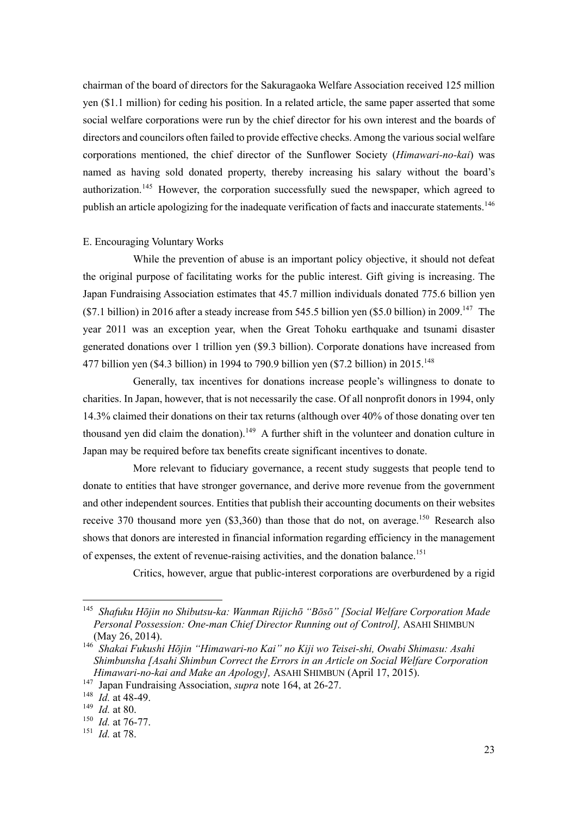chairman of the board of directors for the Sakuragaoka Welfare Association received 125 million yen (\$1.1 million) for ceding his position. In a related article, the same paper asserted that some social welfare corporations were run by the chief director for his own interest and the boards of directors and councilors often failed to provide effective checks. Among the various social welfare corporations mentioned, the chief director of the Sunflower Society (*Himawari-no-kai*) was named as having sold donated property, thereby increasing his salary without the board's authorization.<sup>145</sup> However, the corporation successfully sued the newspaper, which agreed to publish an article apologizing for the inadequate verification of facts and inaccurate statements.<sup>146</sup>

#### E. Encouraging Voluntary Works

While the prevention of abuse is an important policy objective, it should not defeat the original purpose of facilitating works for the public interest. Gift giving is increasing. The Japan Fundraising Association estimates that 45.7 million individuals donated 775.6 billion yen  $(\$7.1$  billion) in 2016 after a steady increase from 545.5 billion yen  $(\$5.0$  billion) in 2009.<sup>147</sup> The year 2011 was an exception year, when the Great Tohoku earthquake and tsunami disaster generated donations over 1 trillion yen (\$9.3 billion). Corporate donations have increased from 477 billion yen (\$4.3 billion) in 1994 to 790.9 billion ven (\$7.2 billion) in 2015.<sup>148</sup>

Generally, tax incentives for donations increase people's willingness to donate to charities. In Japan, however, that is not necessarily the case. Of all nonprofit donors in 1994, only 14.3% claimed their donations on their tax returns (although over 40% of those donating over ten thousand yen did claim the donation).<sup>149</sup> A further shift in the volunteer and donation culture in Japan may be required before tax benefits create significant incentives to donate.

More relevant to fiduciary governance, a recent study suggests that people tend to donate to entities that have stronger governance, and derive more revenue from the government and other independent sources. Entities that publish their accounting documents on their websites receive 370 thousand more yen  $(\$3,360)$  than those that do not, on average.<sup>150</sup> Research also shows that donors are interested in financial information regarding efficiency in the management of expenses, the extent of revenue-raising activities, and the donation balance.<sup>151</sup>

Critics, however, argue that public-interest corporations are overburdened by a rigid

<sup>145</sup> *Shafuku Hōjin no Shibutsu-ka: Wanman Rijichō "Bōsō" [Social Welfare Corporation Made*  Personal Possession: One-man Chief Director Running out of Control], ASAHI SHIMBUN (May 26, 2014).

<sup>146</sup> *Shakai Fukushi Hōjin "Himawari-no Kai" no Kiji wo Teisei-shi, Owabi Shimasu: Asahi Shimbunsha [Asahi Shimbun Correct the Errors in an Article on Social Welfare Corporation Himawari-no-kai and Make an Apology],* ASAHI SHIMBUN (April 17, 2015).

<sup>147</sup> Japan Fundraising Association, *supra* note 164, at 26-27.

<sup>148</sup> *Id.* at 48-49.

<sup>149</sup> *Id.* at 80.

<sup>150</sup> *Id.* at 76-77.

<sup>151</sup> *Id.* at 78.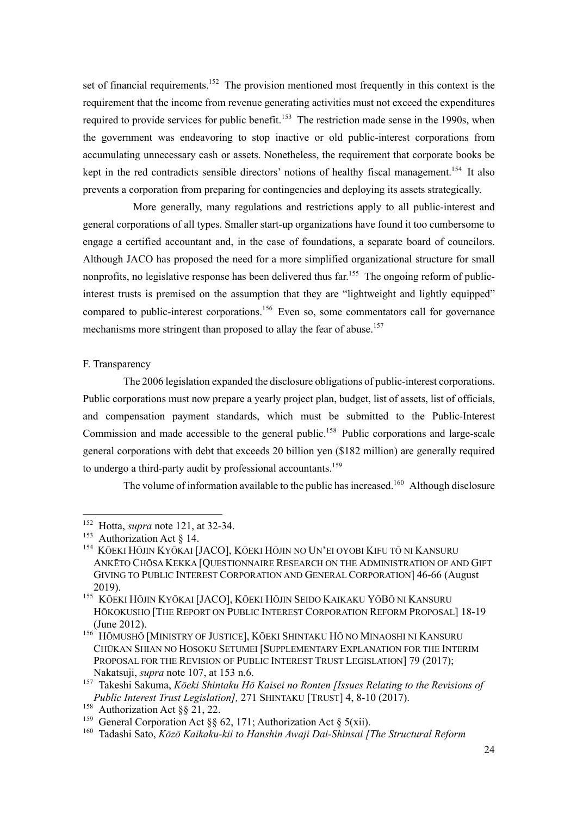set of financial requirements.<sup>152</sup> The provision mentioned most frequently in this context is the requirement that the income from revenue generating activities must not exceed the expenditures required to provide services for public benefit.<sup>153</sup> The restriction made sense in the 1990s, when the government was endeavoring to stop inactive or old public-interest corporations from accumulating unnecessary cash or assets. Nonetheless, the requirement that corporate books be kept in the red contradicts sensible directors' notions of healthy fiscal management.<sup>154</sup> It also prevents a corporation from preparing for contingencies and deploying its assets strategically.

More generally, many regulations and restrictions apply to all public-interest and general corporations of all types. Smaller start-up organizations have found it too cumbersome to engage a certified accountant and, in the case of foundations, a separate board of councilors. Although JACO has proposed the need for a more simplified organizational structure for small nonprofits, no legislative response has been delivered thus far.<sup>155</sup> The ongoing reform of publicinterest trusts is premised on the assumption that they are "lightweight and lightly equipped" compared to public-interest corporations. <sup>156</sup> Even so, some commentators call for governance mechanisms more stringent than proposed to allay the fear of abuse.<sup>157</sup>

#### F. Transparency

The 2006 legislation expanded the disclosure obligations of public-interest corporations. Public corporations must now prepare a yearly project plan, budget, list of assets, list of officials, and compensation payment standards, which must be submitted to the Public-Interest Commission and made accessible to the general public.<sup>158</sup> Public corporations and large-scale general corporations with debt that exceeds 20 billion yen (\$182 million) are generally required to undergo a third-party audit by professional accountants.<sup>159</sup>

The volume of information available to the public has increased.<sup>160</sup> Although disclosure

<sup>152</sup> Hotta, *supra* note 121, at 32-34.

<sup>&</sup>lt;sup>153</sup> Authorization Act  $\S$  14.

<sup>154</sup> KŌEKI HŌJIN KYŌKAI [JACO], KŌEKI HŌJIN NO UN'EI OYOBI KIFU TŌ NI KANSURU ANKĒTO CHŌSA KEKKA [QUESTIONNAIRE RESEARCH ON THE ADMINISTRATION OF AND GIFT GIVING TO PUBLIC INTEREST CORPORATION AND GENERAL CORPORATION] 46-66 (August 2019).

<sup>155</sup> KŌEKI HŌJIN KYŌKAI [JACO], KŌEKI HŌJIN SEIDO KAIKAKU YŌBŌ NI KANSURU HŌKOKUSHO [THE REPORT ON PUBLIC INTEREST CORPORATION REFORM PROPOSAL] 18-19 (June 2012).

<sup>&</sup>lt;sup>156</sup> HŌMUSHŌ [MINISTRY OF JUSTICE], KŌEKI SHINTAKU HŌ NO MINAOSHI NI KANSURU CHŪKAN SHIAN NO HOSOKU SETUMEI [SUPPLEMENTARY EXPLANATION FOR THE INTERIM PROPOSAL FOR THE REVISION OF PUBLIC INTEREST TRUST LEGISLATION] 79 (2017); Nakatsuji, *supra* note 107, at 153 n.6.

<sup>157</sup> Takeshi Sakuma, *Kōeki Shintaku Hō Kaisei no Ronten [Issues Relating to the Revisions of Public Interest Trust Legislation],* 271 SHINTAKU [TRUST] 4, 8-10 (2017).

<sup>&</sup>lt;sup>158</sup> Authorization Act §§ 21, 22.

<sup>&</sup>lt;sup>159</sup> General Corporation Act §§ 62, 171; Authorization Act § 5(xii).

<sup>160</sup> Tadashi Sato, *Kōzō Kaikaku-kii to Hanshin Awaji Dai-Shinsai [The Structural Reform*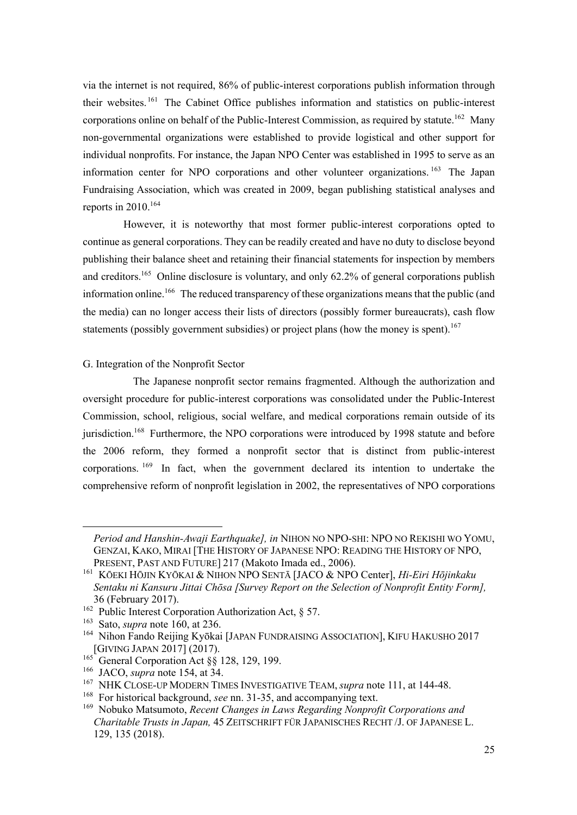via the internet is not required, 86% of public-interest corporations publish information through their websites. <sup>161</sup> The Cabinet Office publishes information and statistics on public-interest corporations online on behalf of the Public-Interest Commission, as required by statute.<sup>162</sup> Many non-governmental organizations were established to provide logistical and other support for individual nonprofits. For instance, the Japan NPO Center was established in 1995 to serve as an information center for NPO corporations and other volunteer organizations. <sup>163</sup> The Japan Fundraising Association, which was created in 2009, began publishing statistical analyses and reports in  $2010$ .<sup>164</sup>

However, it is noteworthy that most former public-interest corporations opted to continue as general corporations. They can be readily created and have no duty to disclose beyond publishing their balance sheet and retaining their financial statements for inspection by members and creditors.<sup>165</sup> Online disclosure is voluntary, and only 62.2% of general corporations publish information online.<sup>166</sup> The reduced transparency of these organizations means that the public (and the media) can no longer access their lists of directors (possibly former bureaucrats), cash flow statements (possibly government subsidies) or project plans (how the money is spent).<sup>167</sup>

#### G. Integration of the Nonprofit Sector

The Japanese nonprofit sector remains fragmented. Although the authorization and oversight procedure for public-interest corporations was consolidated under the Public-Interest Commission, school, religious, social welfare, and medical corporations remain outside of its jurisdiction.<sup>168</sup> Furthermore, the NPO corporations were introduced by 1998 statute and before the 2006 reform, they formed a nonprofit sector that is distinct from public-interest corporations. <sup>169</sup> In fact, when the government declared its intention to undertake the comprehensive reform of nonprofit legislation in 2002, the representatives of NPO corporations

*Period and Hanshin-Awaji Earthquake], in* NIHON NO NPO-SHI: NPO NO REKISHI WO YOMU, GENZAI, KAKO, MIRAI [THE HISTORY OF JAPANESE NPO: READING THE HISTORY OF NPO, PRESENT, PAST AND FUTURE] 217 (Makoto Imada ed., 2006).

<sup>161</sup> KŌEKI HŌJIN KYŌKAI & NIHON NPO SENTĀ [JACO & NPO Center], *Hi-Eiri Hōjinkaku Sentaku ni Kansuru Jittai Chōsa [Survey Report on the Selection of Nonprofit Entity Form],* 36 (February 2017).

<sup>&</sup>lt;sup>162</sup> Public Interest Corporation Authorization Act, § 57.

<sup>&</sup>lt;sup>163</sup> Sato, *supra* note 160, at 236.

<sup>&</sup>lt;sup>164</sup> Nihon Fando Reijing Kyōkai [JAPAN FUNDRAISING ASSOCIATION], KIFU HAKUSHO 2017 [GIVING JAPAN 2017] (2017).

 $^{165}$  General Corporation Act  $\S\dot{\S}$  128, 129, 199.

<sup>166</sup> JACO, *supra* note 154, at 34.

<sup>167</sup> NHK CLOSE-UP MODERN TIMES INVESTIGATIVE TEAM, *supra* note 111, at 144-48.

<sup>168</sup> For historical background, *see* nn. 31-35, and accompanying text.

<sup>169</sup> Nobuko Matsumoto, *Recent Changes in Laws Regarding Nonprofit Corporations and Charitable Trusts in Japan,* 45 ZEITSCHRIFT FÜR JAPANISCHES RECHT /J. OF JAPANESE L. 129, 135 (2018).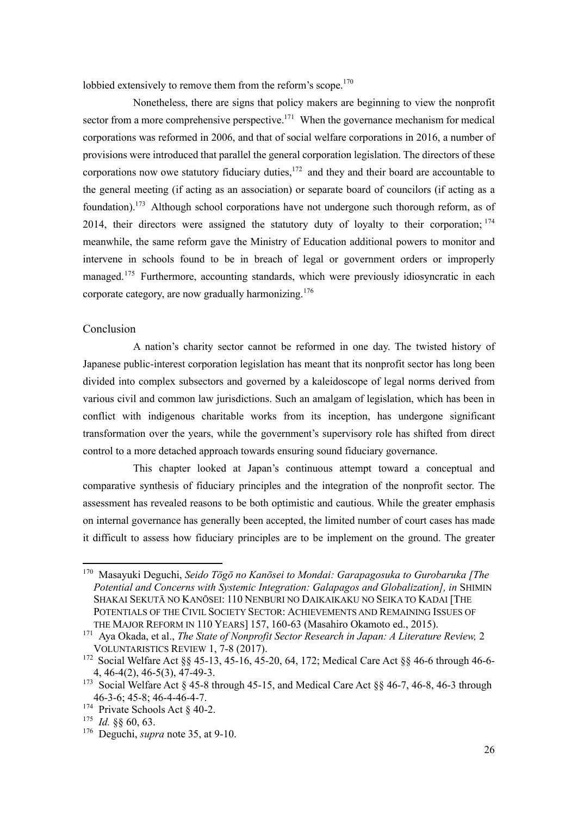lobbied extensively to remove them from the reform's scope.<sup>170</sup>

Nonetheless, there are signs that policy makers are beginning to view the nonprofit sector from a more comprehensive perspective.<sup>171</sup> When the governance mechanism for medical corporations was reformed in 2006, and that of social welfare corporations in 2016, a number of provisions were introduced that parallel the general corporation legislation. The directors of these corporations now owe statutory fiduciary duties, $172$  and they and their board are accountable to the general meeting (if acting as an association) or separate board of councilors (if acting as a foundation).<sup>173</sup> Although school corporations have not undergone such thorough reform, as of 2014, their directors were assigned the statutory duty of loyalty to their corporation;  $174$ meanwhile, the same reform gave the Ministry of Education additional powers to monitor and intervene in schools found to be in breach of legal or government orders or improperly managed.<sup>175</sup> Furthermore, accounting standards, which were previously idiosyncratic in each corporate category, are now gradually harmonizing.<sup>176</sup>

## Conclusion

A nation's charity sector cannot be reformed in one day. The twisted history of Japanese public-interest corporation legislation has meant that its nonprofit sector has long been divided into complex subsectors and governed by a kaleidoscope of legal norms derived from various civil and common law jurisdictions. Such an amalgam of legislation, which has been in conflict with indigenous charitable works from its inception, has undergone significant transformation over the years, while the government's supervisory role has shifted from direct control to a more detached approach towards ensuring sound fiduciary governance.

This chapter looked at Japan's continuous attempt toward a conceptual and comparative synthesis of fiduciary principles and the integration of the nonprofit sector. The assessment has revealed reasons to be both optimistic and cautious. While the greater emphasis on internal governance has generally been accepted, the limited number of court cases has made it difficult to assess how fiduciary principles are to be implement on the ground. The greater

<sup>170</sup> Masayuki Deguchi, *Seido Tōgō no Kanōsei to Mondai: Garapagosuka to Gurobaruka [The Potential and Concerns with Systemic Integration: Galapagos and Globalization], in* SHIMIN SHAKAI SEKUTĀ NO KANŌSEI: 110 NENBURI NO DAIKAIKAKU NO SEIKA TO KADAI [THE POTENTIALS OF THE CIVIL SOCIETY SECTOR: ACHIEVEMENTS AND REMAINING ISSUES OF THE MAJOR REFORM IN 110 YEARS] 157, 160-63 (Masahiro Okamoto ed., 2015).

<sup>171</sup> Aya Okada, et al., *The State of Nonprofit Sector Research in Japan: A Literature Review,* 2 VOLUNTARISTICS REVIEW 1, 7-8 (2017).

<sup>172</sup> Social Welfare Act §§ 45-13, 45-16, 45-20, 64, 172; Medical Care Act §§ 46-6 through 46-6- 4, 46-4(2), 46-5(3), 47-49-3.

<sup>&</sup>lt;sup>173</sup> Social Welfare Act § 45-8 through 45-15, and Medical Care Act §§ 46-7, 46-8, 46-3 through 46-3-6; 45-8; 46-4-46-4-7.

<sup>&</sup>lt;sup>174</sup> Private Schools Act § 40-2.

<sup>175</sup> *Id.* §§ 60, 63.

<sup>176</sup> Deguchi, *supra* note 35, at 9-10.